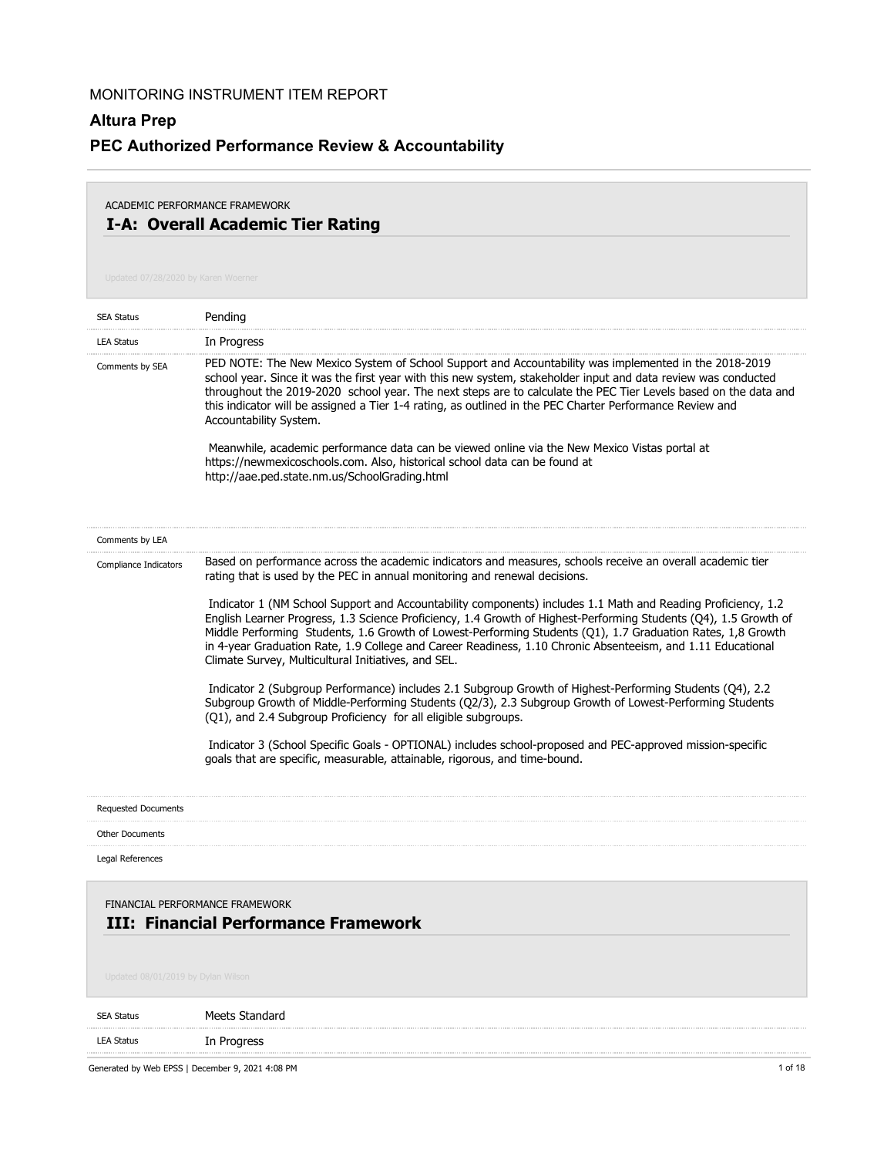# **Altura Prep PEC Authorized Performance Review & Accountability**

## **I-A: Overall Academic Tier Rating** ACADEMIC PERFORMANCE FRAMEWORK

| <b>SEA Status</b>                  | Pending                                                                                                                                                                                                                                                                                                                                                                                                                                                                                                                                                                                                                                                                                                                                                                                                        |
|------------------------------------|----------------------------------------------------------------------------------------------------------------------------------------------------------------------------------------------------------------------------------------------------------------------------------------------------------------------------------------------------------------------------------------------------------------------------------------------------------------------------------------------------------------------------------------------------------------------------------------------------------------------------------------------------------------------------------------------------------------------------------------------------------------------------------------------------------------|
| <b>LEA Status</b>                  | In Progress                                                                                                                                                                                                                                                                                                                                                                                                                                                                                                                                                                                                                                                                                                                                                                                                    |
| Comments by SEA                    | PED NOTE: The New Mexico System of School Support and Accountability was implemented in the 2018-2019<br>school year. Since it was the first year with this new system, stakeholder input and data review was conducted<br>throughout the 2019-2020 school year. The next steps are to calculate the PEC Tier Levels based on the data and<br>this indicator will be assigned a Tier 1-4 rating, as outlined in the PEC Charter Performance Review and<br>Accountability System.<br>Meanwhile, academic performance data can be viewed online via the New Mexico Vistas portal at<br>https://newmexicoschools.com. Also, historical school data can be found at<br>http://aae.ped.state.nm.us/SchoolGrading.html                                                                                               |
| Comments by LEA                    |                                                                                                                                                                                                                                                                                                                                                                                                                                                                                                                                                                                                                                                                                                                                                                                                                |
| Compliance Indicators              | Based on performance across the academic indicators and measures, schools receive an overall academic tier<br>rating that is used by the PEC in annual monitoring and renewal decisions.                                                                                                                                                                                                                                                                                                                                                                                                                                                                                                                                                                                                                       |
|                                    | Indicator 1 (NM School Support and Accountability components) includes 1.1 Math and Reading Proficiency, 1.2<br>English Learner Progress, 1.3 Science Proficiency, 1.4 Growth of Highest-Performing Students (Q4), 1.5 Growth of<br>Middle Performing Students, 1.6 Growth of Lowest-Performing Students (Q1), 1.7 Graduation Rates, 1,8 Growth<br>in 4-year Graduation Rate, 1.9 College and Career Readiness, 1.10 Chronic Absenteeism, and 1.11 Educational<br>Climate Survey, Multicultural Initiatives, and SEL.<br>Indicator 2 (Subgroup Performance) includes 2.1 Subgroup Growth of Highest-Performing Students (Q4), 2.2<br>Subgroup Growth of Middle-Performing Students (Q2/3), 2.3 Subgroup Growth of Lowest-Performing Students<br>(Q1), and 2.4 Subgroup Proficiency for all eligible subgroups. |
|                                    | Indicator 3 (School Specific Goals - OPTIONAL) includes school-proposed and PEC-approved mission-specific<br>goals that are specific, measurable, attainable, rigorous, and time-bound.                                                                                                                                                                                                                                                                                                                                                                                                                                                                                                                                                                                                                        |
| <b>Requested Documents</b>         |                                                                                                                                                                                                                                                                                                                                                                                                                                                                                                                                                                                                                                                                                                                                                                                                                |
| <b>Other Documents</b>             |                                                                                                                                                                                                                                                                                                                                                                                                                                                                                                                                                                                                                                                                                                                                                                                                                |
| Legal References                   |                                                                                                                                                                                                                                                                                                                                                                                                                                                                                                                                                                                                                                                                                                                                                                                                                |
| Updated 08/01/2019 by Dylan Wilson | FINANCIAL PERFORMANCE FRAMEWORK<br><b>III: Financial Performance Framework</b>                                                                                                                                                                                                                                                                                                                                                                                                                                                                                                                                                                                                                                                                                                                                 |
|                                    |                                                                                                                                                                                                                                                                                                                                                                                                                                                                                                                                                                                                                                                                                                                                                                                                                |
| <b>SEA Status</b>                  | Meets Standard                                                                                                                                                                                                                                                                                                                                                                                                                                                                                                                                                                                                                                                                                                                                                                                                 |
| <b>LEA Status</b>                  | In Progress                                                                                                                                                                                                                                                                                                                                                                                                                                                                                                                                                                                                                                                                                                                                                                                                    |
|                                    | Generated by Web EPSS   December 9, 2021 4:08 PM<br>1 of 18                                                                                                                                                                                                                                                                                                                                                                                                                                                                                                                                                                                                                                                                                                                                                    |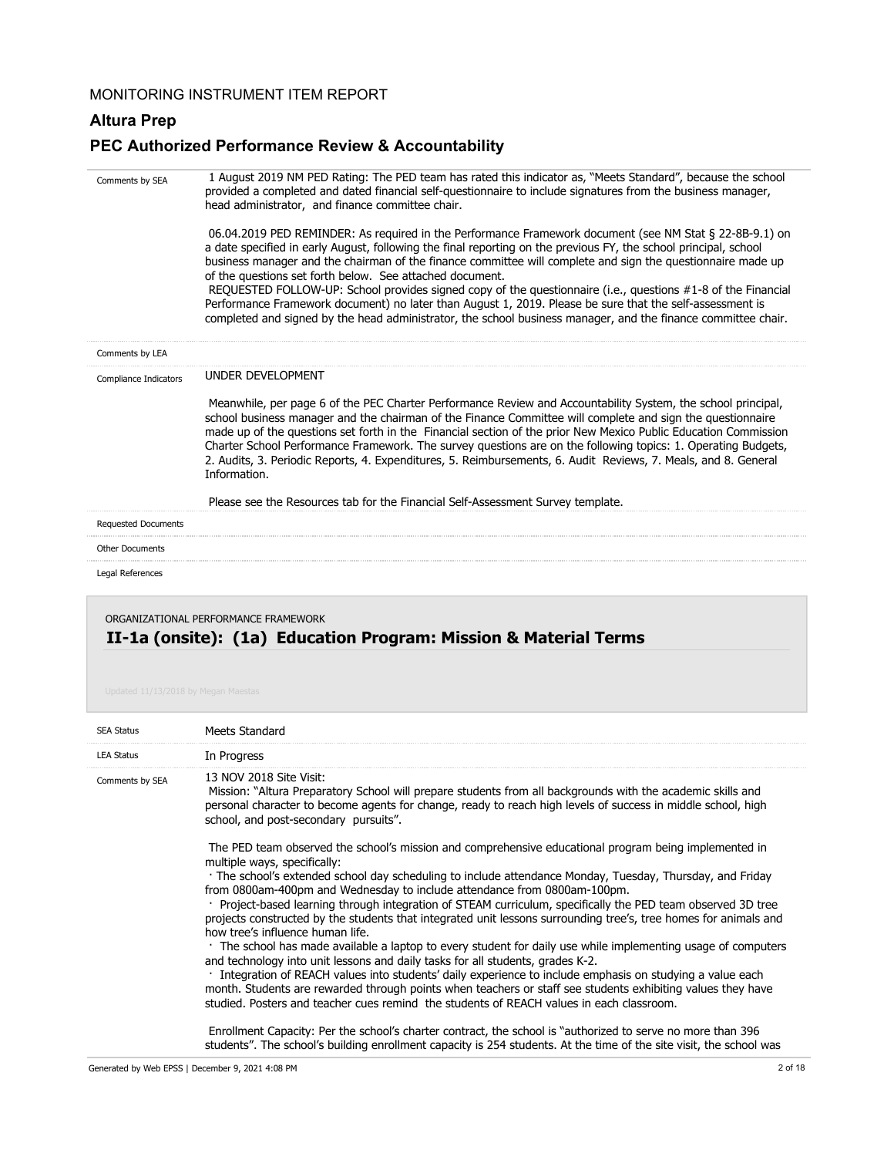### **Altura Prep**

## **PEC Authorized Performance Review & Accountability**

| Comments by SEA            | 1 August 2019 NM PED Rating: The PED team has rated this indicator as, "Meets Standard", because the school<br>provided a completed and dated financial self-questionnaire to include signatures from the business manager,<br>head administrator, and finance committee chair.                                                                                                                                                                                                                                                                                                                                                    |
|----------------------------|------------------------------------------------------------------------------------------------------------------------------------------------------------------------------------------------------------------------------------------------------------------------------------------------------------------------------------------------------------------------------------------------------------------------------------------------------------------------------------------------------------------------------------------------------------------------------------------------------------------------------------|
|                            | 06.04.2019 PED REMINDER: As required in the Performance Framework document (see NM Stat § 22-8B-9.1) on<br>a date specified in early August, following the final reporting on the previous FY, the school principal, school<br>business manager and the chairman of the finance committee will complete and sign the questionnaire made up<br>of the questions set forth below. See attached document.<br>REQUESTED FOLLOW-UP: School provides signed copy of the questionnaire (i.e., questions #1-8 of the Financial<br>Performance Framework document) no later than August 1, 2019. Please be sure that the self-assessment is |
|                            | completed and signed by the head administrator, the school business manager, and the finance committee chair.                                                                                                                                                                                                                                                                                                                                                                                                                                                                                                                      |
| Comments by LEA            |                                                                                                                                                                                                                                                                                                                                                                                                                                                                                                                                                                                                                                    |
| Compliance Indicators      | UNDER DEVELOPMENT                                                                                                                                                                                                                                                                                                                                                                                                                                                                                                                                                                                                                  |
|                            | Meanwhile, per page 6 of the PEC Charter Performance Review and Accountability System, the school principal,<br>school business manager and the chairman of the Finance Committee will complete and sign the questionnaire<br>made up of the questions set forth in the Financial section of the prior New Mexico Public Education Commission<br>Charter School Performance Framework. The survey questions are on the following topics: 1. Operating Budgets,<br>2. Audits, 3. Periodic Reports, 4. Expenditures, 5. Reimbursements, 6. Audit Reviews, 7. Meals, and 8. General<br>Information.                                   |
|                            | Please see the Resources tab for the Financial Self-Assessment Survey template.                                                                                                                                                                                                                                                                                                                                                                                                                                                                                                                                                    |
| <b>Requested Documents</b> |                                                                                                                                                                                                                                                                                                                                                                                                                                                                                                                                                                                                                                    |
| Other Documents            |                                                                                                                                                                                                                                                                                                                                                                                                                                                                                                                                                                                                                                    |
| Legal References           |                                                                                                                                                                                                                                                                                                                                                                                                                                                                                                                                                                                                                                    |

## **II-1a (onsite): (1a) Education Program: Mission & Material Terms** ORGANIZATIONAL PERFORMANCE FRAMEWORK

| <b>SEA Status</b> | Meets Standard                                                                                                                                                                                                                                                                                                        |
|-------------------|-----------------------------------------------------------------------------------------------------------------------------------------------------------------------------------------------------------------------------------------------------------------------------------------------------------------------|
| <b>LEA Status</b> | In Progress                                                                                                                                                                                                                                                                                                           |
| Comments by SEA   | 13 NOV 2018 Site Visit:<br>Mission: "Altura Preparatory School will prepare students from all backgrounds with the academic skills and<br>personal character to become agents for change, ready to reach high levels of success in middle school, high<br>school, and post-secondary pursuits".                       |
|                   | The PED team observed the school's mission and comprehensive educational program being implemented in<br>multiple ways, specifically:                                                                                                                                                                                 |
|                   | The school's extended school day scheduling to include attendance Monday, Tuesday, Thursday, and Friday<br>from 0800am-400pm and Wednesday to include attendance from 0800am-100pm.                                                                                                                                   |
|                   | Project-based learning through integration of STEAM curriculum, specifically the PED team observed 3D tree<br>projects constructed by the students that integrated unit lessons surrounding tree's, tree homes for animals and<br>how tree's influence human life.                                                    |
|                   | The school has made available a laptop to every student for daily use while implementing usage of computers<br>and technology into unit lessons and daily tasks for all students, grades K-2.                                                                                                                         |
|                   | · Integration of REACH values into students' daily experience to include emphasis on studying a value each<br>month. Students are rewarded through points when teachers or staff see students exhibiting values they have<br>studied. Posters and teacher cues remind the students of REACH values in each classroom. |
|                   | Enrollment Capacity: Per the school's charter contract, the school is "authorized to serve no more than 396<br>students". The school's building enrollment capacity is 254 students. At the time of the site visit, the school was                                                                                    |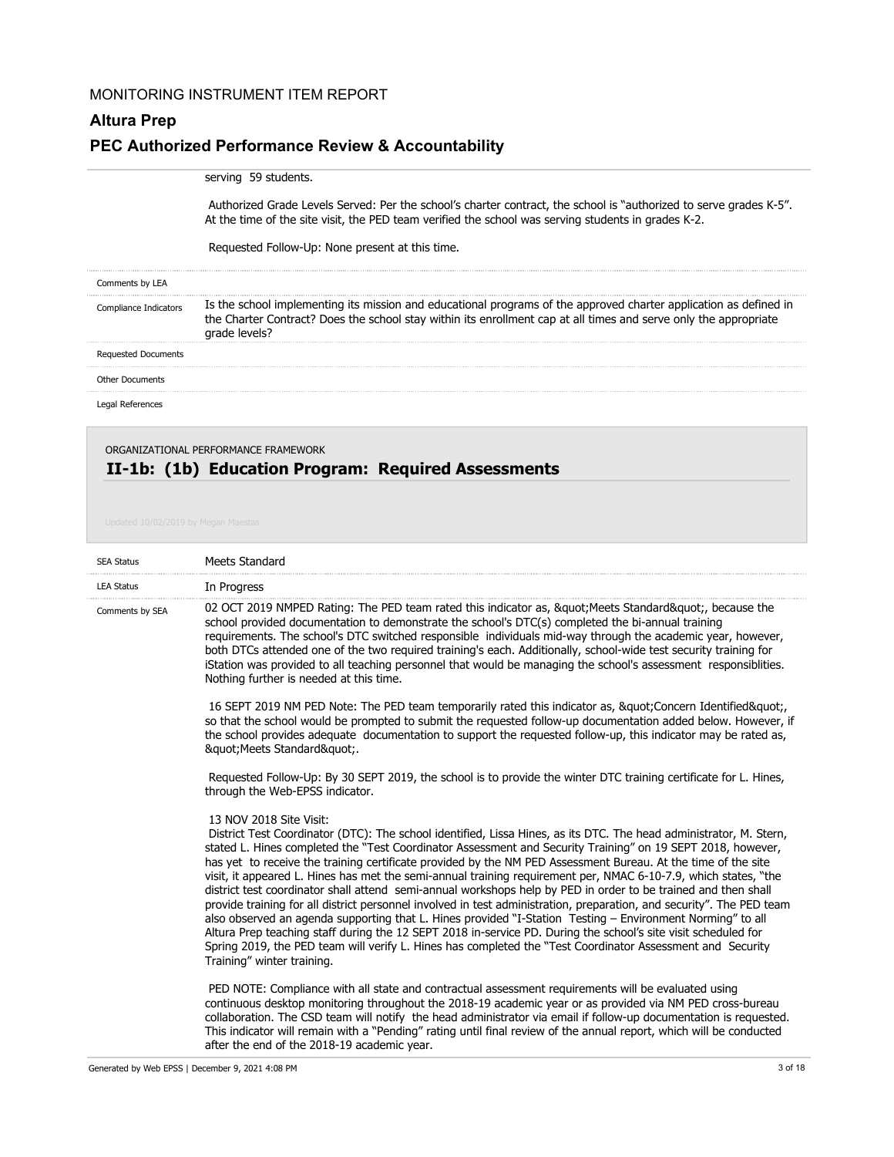# **Altura Prep PEC Authorized Performance Review & Accountability**

#### serving 59 students.

 Authorized Grade Levels Served: Per the school's charter contract, the school is "authorized to serve grades K-5". At the time of the site visit, the PED team verified the school was serving students in grades K-2.

Requested Follow-Up: None present at this time.

| Comments by LEA            |                                                                                                                                                                                                                                                        |
|----------------------------|--------------------------------------------------------------------------------------------------------------------------------------------------------------------------------------------------------------------------------------------------------|
| pliance Indicators         | Is the school implementing its mission and educational programs of the approved charter application as defined in<br>the Charter Contract? Does the school stay within its enrollment cap at all times and serve only the appropriate<br>arade levels? |
| <b>Requested Documents</b> |                                                                                                                                                                                                                                                        |
| <b>Other Documents</b>     |                                                                                                                                                                                                                                                        |
|                            |                                                                                                                                                                                                                                                        |

## **II-1b: (1b) Education Program: Required Assessments** ORGANIZATIONAL PERFORMANCE FRAMEWORK

| <b>SEA Status</b> | Meets Standard                                                                                                                                                                                                                                                                                                                                                                                                                                                                                                                                                                                                                                                                                                                                                                                                                                                                                                                                                                                                                                                                                                          |
|-------------------|-------------------------------------------------------------------------------------------------------------------------------------------------------------------------------------------------------------------------------------------------------------------------------------------------------------------------------------------------------------------------------------------------------------------------------------------------------------------------------------------------------------------------------------------------------------------------------------------------------------------------------------------------------------------------------------------------------------------------------------------------------------------------------------------------------------------------------------------------------------------------------------------------------------------------------------------------------------------------------------------------------------------------------------------------------------------------------------------------------------------------|
| <b>LEA Status</b> | In Progress                                                                                                                                                                                                                                                                                                                                                                                                                                                                                                                                                                                                                                                                                                                                                                                                                                                                                                                                                                                                                                                                                                             |
| Comments by SEA   | 02 OCT 2019 NMPED Rating: The PED team rated this indicator as, " Meets Standard", because the<br>school provided documentation to demonstrate the school's DTC(s) completed the bi-annual training<br>requirements. The school's DTC switched responsible individuals mid-way through the academic year, however,<br>both DTCs attended one of the two required training's each. Additionally, school-wide test security training for<br>iStation was provided to all teaching personnel that would be managing the school's assessment responsibilities.<br>Nothing further is needed at this time.                                                                                                                                                                                                                                                                                                                                                                                                                                                                                                                   |
|                   | 16 SEPT 2019 NM PED Note: The PED team temporarily rated this indicator as, " Concern Identified"<br>so that the school would be prompted to submit the requested follow-up documentation added below. However, if<br>the school provides adequate documentation to support the requested follow-up, this indicator may be rated as,<br>" Meets Standard".                                                                                                                                                                                                                                                                                                                                                                                                                                                                                                                                                                                                                                                                                                                                                              |
|                   | Requested Follow-Up: By 30 SEPT 2019, the school is to provide the winter DTC training certificate for L. Hines,<br>through the Web-EPSS indicator.                                                                                                                                                                                                                                                                                                                                                                                                                                                                                                                                                                                                                                                                                                                                                                                                                                                                                                                                                                     |
|                   | 13 NOV 2018 Site Visit:<br>District Test Coordinator (DTC): The school identified, Lissa Hines, as its DTC. The head administrator, M. Stern,<br>stated L. Hines completed the "Test Coordinator Assessment and Security Training" on 19 SEPT 2018, however,<br>has yet to receive the training certificate provided by the NM PED Assessment Bureau. At the time of the site<br>visit, it appeared L. Hines has met the semi-annual training requirement per, NMAC 6-10-7.9, which states, "the<br>district test coordinator shall attend semi-annual workshops help by PED in order to be trained and then shall<br>provide training for all district personnel involved in test administration, preparation, and security". The PED team<br>also observed an agenda supporting that L. Hines provided "I-Station Testing - Environment Norming" to all<br>Altura Prep teaching staff during the 12 SEPT 2018 in-service PD. During the school's site visit scheduled for<br>Spring 2019, the PED team will verify L. Hines has completed the "Test Coordinator Assessment and Security<br>Training" winter training. |
|                   | PED NOTE: Compliance with all state and contractual assessment requirements will be evaluated using<br>continuous desktop monitoring throughout the 2018-19 academic year or as provided via NM PED cross-bureau<br>collaboration. The CSD team will notify the head administrator via email if follow-up documentation is requested.<br>This indicator will remain with a "Pending" rating until final review of the annual report, which will be conducted                                                                                                                                                                                                                                                                                                                                                                                                                                                                                                                                                                                                                                                            |

after the end of the 2018-19 academic year.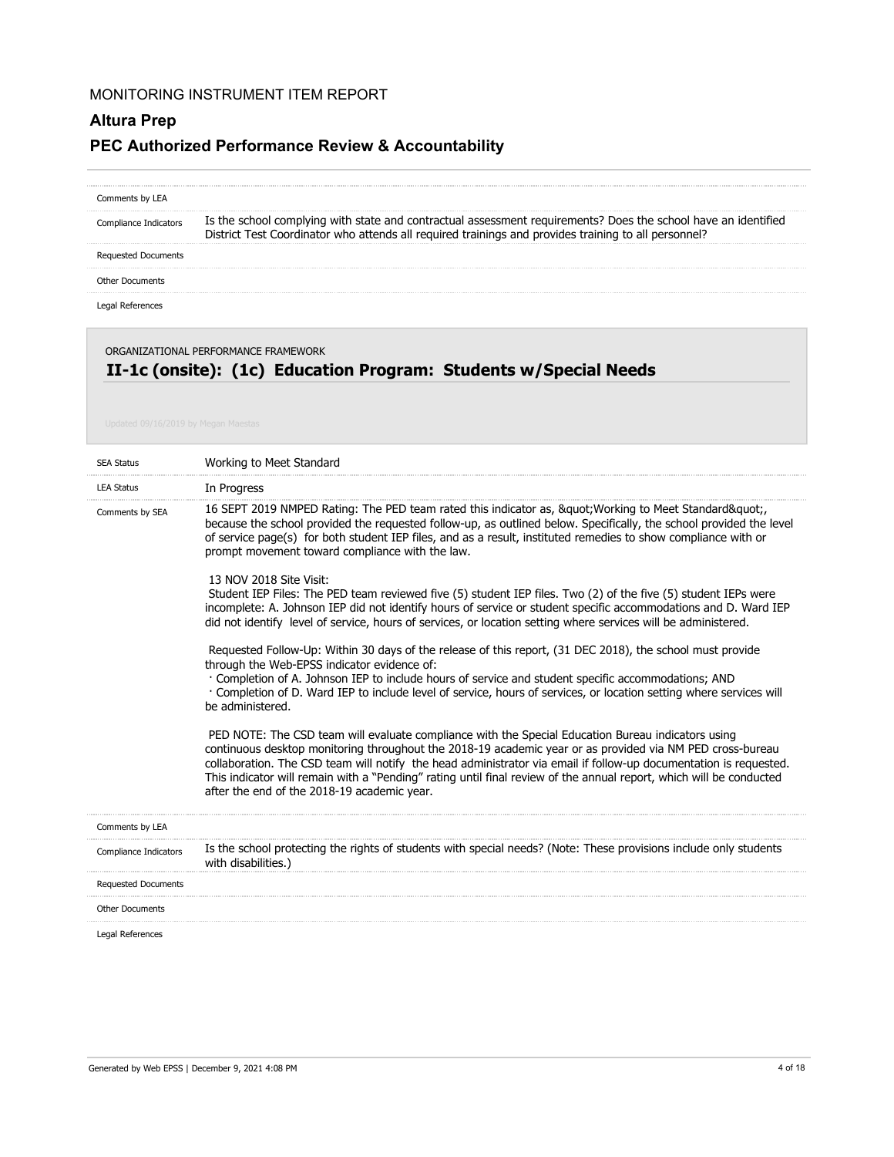# **Altura Prep PEC Authorized Performance Review & Accountability**

| Comments by LEA       |                                                                                                                                                                                                                        |
|-----------------------|------------------------------------------------------------------------------------------------------------------------------------------------------------------------------------------------------------------------|
| Compliance Indicators | Is the school complying with state and contractual assessment requirements? Does the school have an identified<br>District Test Coordinator who attends all required trainings and provides training to all personnel? |
| Requested Documents   |                                                                                                                                                                                                                        |
| Other Documents       |                                                                                                                                                                                                                        |
|                       |                                                                                                                                                                                                                        |

Legal References

# ORGANIZATIONAL PERFORMANCE FRAMEWORK

# **II-1c (onsite): (1c) Education Program: Students w/Special Needs**

| <b>SEA Status</b>          | Working to Meet Standard                                                                                                                                                                                                                                                                                                                                                                                                                                                                                   |
|----------------------------|------------------------------------------------------------------------------------------------------------------------------------------------------------------------------------------------------------------------------------------------------------------------------------------------------------------------------------------------------------------------------------------------------------------------------------------------------------------------------------------------------------|
| <b>LEA Status</b>          | In Progress                                                                                                                                                                                                                                                                                                                                                                                                                                                                                                |
| Comments by SEA            | 16 SEPT 2019 NMPED Rating: The PED team rated this indicator as, " Working to Meet Standard"<br>because the school provided the requested follow-up, as outlined below. Specifically, the school provided the level<br>of service page(s) for both student IEP files, and as a result, instituted remedies to show compliance with or<br>prompt movement toward compliance with the law.                                                                                                                   |
|                            | 13 NOV 2018 Site Visit:<br>Student IEP Files: The PED team reviewed five (5) student IEP files. Two (2) of the five (5) student IEPs were<br>incomplete: A. Johnson IEP did not identify hours of service or student specific accommodations and D. Ward IEP<br>did not identify level of service, hours of services, or location setting where services will be administered.                                                                                                                             |
|                            | Requested Follow-Up: Within 30 days of the release of this report, (31 DEC 2018), the school must provide<br>through the Web-EPSS indicator evidence of:<br>Completion of A. Johnson IEP to include hours of service and student specific accommodations; AND<br>· Completion of D. Ward IEP to include level of service, hours of services, or location setting where services will<br>be administered.                                                                                                   |
|                            | PED NOTE: The CSD team will evaluate compliance with the Special Education Bureau indicators using<br>continuous desktop monitoring throughout the 2018-19 academic year or as provided via NM PED cross-bureau<br>collaboration. The CSD team will notify the head administrator via email if follow-up documentation is requested.<br>This indicator will remain with a "Pending" rating until final review of the annual report, which will be conducted<br>after the end of the 2018-19 academic year. |
| Comments by LEA            |                                                                                                                                                                                                                                                                                                                                                                                                                                                                                                            |
| Compliance Indicators      | Is the school protecting the rights of students with special needs? (Note: These provisions include only students<br>with disabilities.)                                                                                                                                                                                                                                                                                                                                                                   |
| <b>Requested Documents</b> |                                                                                                                                                                                                                                                                                                                                                                                                                                                                                                            |
| <b>Other Documents</b>     |                                                                                                                                                                                                                                                                                                                                                                                                                                                                                                            |
| Legal References           |                                                                                                                                                                                                                                                                                                                                                                                                                                                                                                            |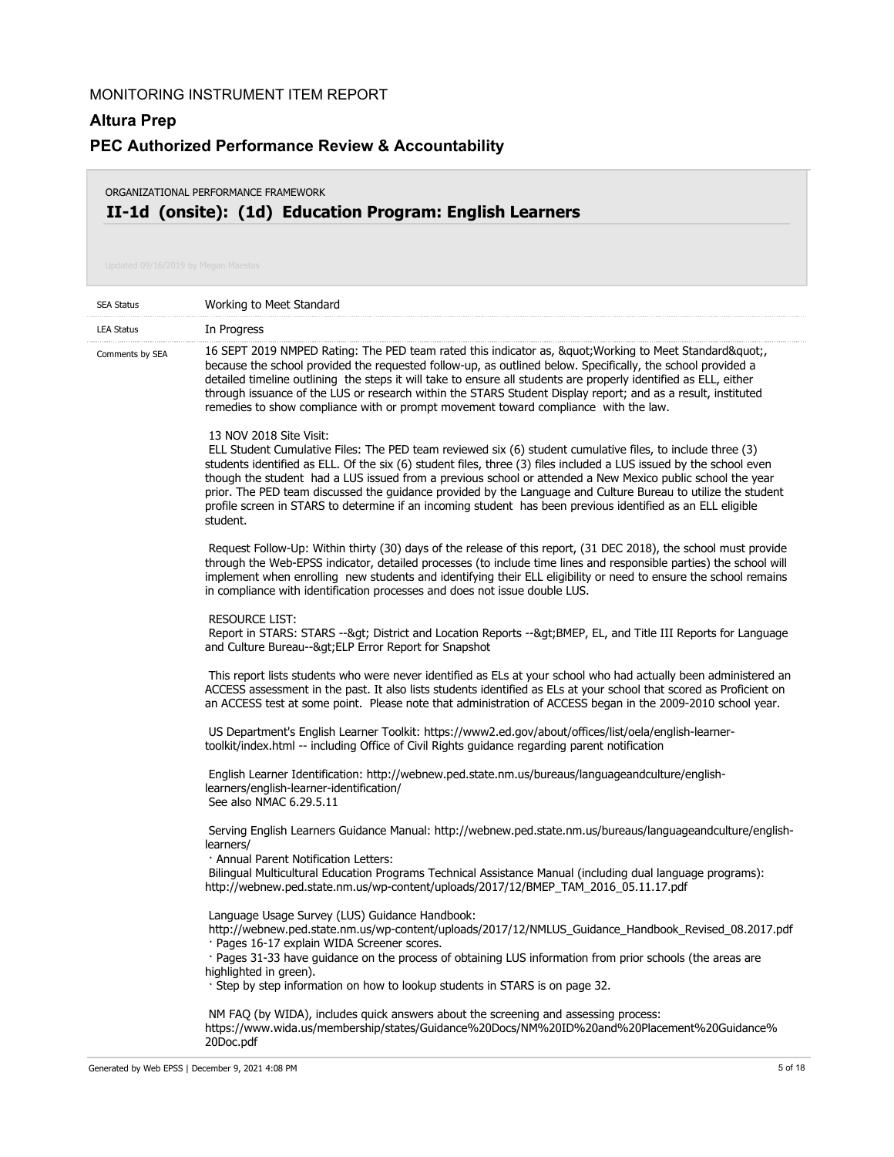### **Altura Prep**

## **PEC Authorized Performance Review & Accountability**

## **II-1d (onsite): (1d) Education Program: English Learners** ORGANIZATIONAL PERFORMANCE FRAMEWORK

| <b>SEA Status</b> | Working to Meet Standard                                                                                                                                                                                                                                                                                                                                                                                                                                                                                                                                                                                              |
|-------------------|-----------------------------------------------------------------------------------------------------------------------------------------------------------------------------------------------------------------------------------------------------------------------------------------------------------------------------------------------------------------------------------------------------------------------------------------------------------------------------------------------------------------------------------------------------------------------------------------------------------------------|
| <b>LEA Status</b> | In Progress                                                                                                                                                                                                                                                                                                                                                                                                                                                                                                                                                                                                           |
| Comments by SEA   | 16 SEPT 2019 NMPED Rating: The PED team rated this indicator as, " Working to Meet Standard",<br>because the school provided the requested follow-up, as outlined below. Specifically, the school provided a<br>detailed timeline outlining the steps it will take to ensure all students are properly identified as ELL, either<br>through issuance of the LUS or research within the STARS Student Display report; and as a result, instituted<br>remedies to show compliance with or prompt movement toward compliance with the law.                                                                               |
|                   | 13 NOV 2018 Site Visit:<br>ELL Student Cumulative Files: The PED team reviewed six (6) student cumulative files, to include three (3)<br>students identified as ELL. Of the six (6) student files, three (3) files included a LUS issued by the school even<br>though the student had a LUS issued from a previous school or attended a New Mexico public school the year<br>prior. The PED team discussed the guidance provided by the Language and Culture Bureau to utilize the student<br>profile screen in STARS to determine if an incoming student has been previous identified as an ELL eligible<br>student. |
|                   | Request Follow-Up: Within thirty (30) days of the release of this report, (31 DEC 2018), the school must provide<br>through the Web-EPSS indicator, detailed processes (to include time lines and responsible parties) the school will<br>implement when enrolling new students and identifying their ELL eligibility or need to ensure the school remains<br>in compliance with identification processes and does not issue double LUS.                                                                                                                                                                              |
|                   | <b>RESOURCE LIST:</b><br>Report in STARS: STARS --&qt District and Location Reports --&qtBMEP, EL, and Title III Reports for Language<br>and Culture Bureau--> ELP Error Report for Snapshot                                                                                                                                                                                                                                                                                                                                                                                                                          |
|                   | This report lists students who were never identified as ELs at your school who had actually been administered an<br>ACCESS assessment in the past. It also lists students identified as ELs at your school that scored as Proficient on<br>an ACCESS test at some point. Please note that administration of ACCESS began in the 2009-2010 school year.                                                                                                                                                                                                                                                                |
|                   | US Department's English Learner Toolkit: https://www2.ed.gov/about/offices/list/oela/english-learner-<br>toolkit/index.html -- including Office of Civil Rights guidance regarding parent notification                                                                                                                                                                                                                                                                                                                                                                                                                |
|                   | English Learner Identification: http://webnew.ped.state.nm.us/bureaus/languageandculture/english-<br>learners/english-learner-identification/<br>See also NMAC 6.29.5.11                                                                                                                                                                                                                                                                                                                                                                                                                                              |
|                   | Serving English Learners Guidance Manual: http://webnew.ped.state.nm.us/bureaus/languageandculture/english-<br>learners/<br>· Annual Parent Notification Letters:<br>Bilingual Multicultural Education Programs Technical Assistance Manual (including dual language programs):<br>http://webnew.ped.state.nm.us/wp-content/uploads/2017/12/BMEP_TAM_2016_05.11.17.pdf                                                                                                                                                                                                                                                |
|                   | Language Usage Survey (LUS) Guidance Handbook:<br>http://webnew.ped.state.nm.us/wp-content/uploads/2017/12/NMLUS_Guidance_Handbook_Revised_08.2017.pdf<br>· Pages 16-17 explain WIDA Screener scores.<br>· Pages 31-33 have guidance on the process of obtaining LUS information from prior schools (the areas are<br>highlighted in green).<br>Step by step information on how to lookup students in STARS is on page 32.                                                                                                                                                                                            |
|                   | NM FAQ (by WIDA), includes quick answers about the screening and assessing process:<br>https://www.wida.us/membership/states/Guidance%20Docs/NM%20ID%20and%20Placement%20Guidance%<br>20Doc.pdf                                                                                                                                                                                                                                                                                                                                                                                                                       |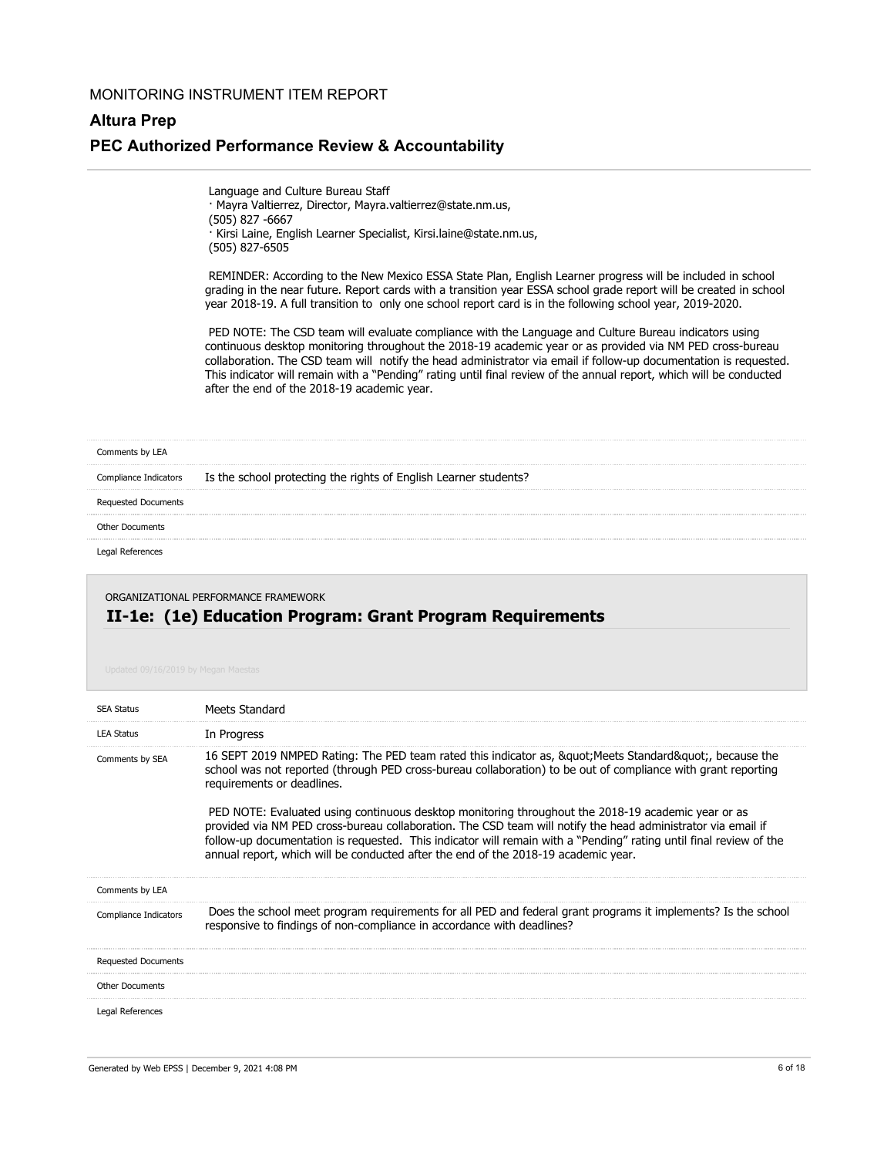# **Altura Prep PEC Authorized Performance Review & Accountability**

 Language and Culture Bureau Staff · Mayra Valtierrez, Director, Mayra.valtierrez@state.nm.us, (505) 827 -6667 · Kirsi Laine, English Learner Specialist, Kirsi.laine@state.nm.us, (505) 827-6505

 REMINDER: According to the New Mexico ESSA State Plan, English Learner progress will be included in school grading in the near future. Report cards with a transition year ESSA school grade report will be created in school year 2018-19. A full transition to only one school report card is in the following school year, 2019-2020.

 PED NOTE: The CSD team will evaluate compliance with the Language and Culture Bureau indicators using continuous desktop monitoring throughout the 2018-19 academic year or as provided via NM PED cross-bureau collaboration. The CSD team will notify the head administrator via email if follow-up documentation is requested. This indicator will remain with a "Pending" rating until final review of the annual report, which will be conducted after the end of the 2018-19 academic year.

#### Comments by LEA

Is the school protecting the rights of English Learner students? Compliance Indicators

Requested Documents

#### Other Documents

Legal References

#### **II-1e: (1e) Education Program: Grant Program Requirements** ORGANIZATIONAL PERFORMANCE FRAMEWORK

| <b>SEA Status</b>          | Meets Standard                                                                                                                                                                                                                                                                                                                                                                                                                 |
|----------------------------|--------------------------------------------------------------------------------------------------------------------------------------------------------------------------------------------------------------------------------------------------------------------------------------------------------------------------------------------------------------------------------------------------------------------------------|
| <b>LEA Status</b>          | In Progress                                                                                                                                                                                                                                                                                                                                                                                                                    |
| Comments by SEA            | 16 SEPT 2019 NMPED Rating: The PED team rated this indicator as, &guot Meets Standard&guot, because the<br>school was not reported (through PED cross-bureau collaboration) to be out of compliance with grant reporting<br>requirements or deadlines.                                                                                                                                                                         |
|                            | PED NOTE: Evaluated using continuous desktop monitoring throughout the 2018-19 academic year or as<br>provided via NM PED cross-bureau collaboration. The CSD team will notify the head administrator via email if<br>follow-up documentation is requested. This indicator will remain with a "Pending" rating until final review of the<br>annual report, which will be conducted after the end of the 2018-19 academic year. |
| Comments by LEA            |                                                                                                                                                                                                                                                                                                                                                                                                                                |
| Compliance Indicators      | Does the school meet program requirements for all PED and federal grant programs it implements? Is the school<br>responsive to findings of non-compliance in accordance with deadlines?                                                                                                                                                                                                                                        |
| <b>Requested Documents</b> |                                                                                                                                                                                                                                                                                                                                                                                                                                |
| <b>Other Documents</b>     |                                                                                                                                                                                                                                                                                                                                                                                                                                |
| Legal References           |                                                                                                                                                                                                                                                                                                                                                                                                                                |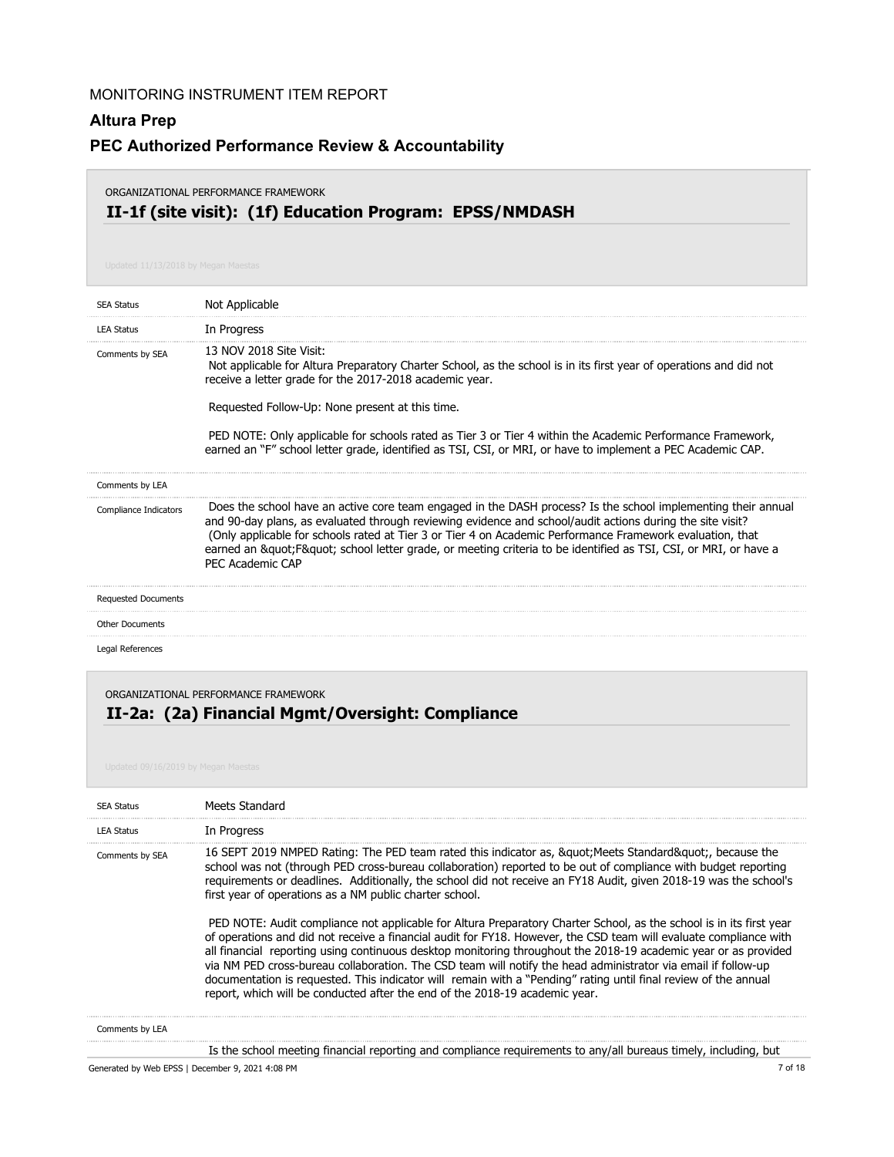## **Altura Prep**

## **PEC Authorized Performance Review & Accountability**

#### ORGANIZATIONAL PERFORMANCE FRAMEWORK

## **II-1f (site visit): (1f) Education Program: EPSS/NMDASH**

| <b>SEA Status</b>          | Not Applicable                                                                                                                                                                                                                                                                                                                                                                                                                                                                           |
|----------------------------|------------------------------------------------------------------------------------------------------------------------------------------------------------------------------------------------------------------------------------------------------------------------------------------------------------------------------------------------------------------------------------------------------------------------------------------------------------------------------------------|
| <b>LEA Status</b>          | In Progress                                                                                                                                                                                                                                                                                                                                                                                                                                                                              |
| Comments by SEA            | 13 NOV 2018 Site Visit:<br>Not applicable for Altura Preparatory Charter School, as the school is in its first year of operations and did not<br>receive a letter grade for the 2017-2018 academic year.<br>Requested Follow-Up: None present at this time.<br>PED NOTE: Only applicable for schools rated as Tier 3 or Tier 4 within the Academic Performance Framework,<br>earned an "F" school letter grade, identified as TSI, CSI, or MRI, or have to implement a PEC Academic CAP. |
| Comments by LEA            |                                                                                                                                                                                                                                                                                                                                                                                                                                                                                          |
| Compliance Indicators      | Does the school have an active core team engaged in the DASH process? Is the school implementing their annual<br>and 90-day plans, as evaluated through reviewing evidence and school/audit actions during the site visit?<br>(Only applicable for schools rated at Tier 3 or Tier 4 on Academic Performance Framework evaluation, that<br>earned an " F" school letter grade, or meeting criteria to be identified as TSI, CSI, or MRI, or have a<br>PFC Academic CAP                   |
| <b>Requested Documents</b> |                                                                                                                                                                                                                                                                                                                                                                                                                                                                                          |
| Other Documents            |                                                                                                                                                                                                                                                                                                                                                                                                                                                                                          |
| Legal References           |                                                                                                                                                                                                                                                                                                                                                                                                                                                                                          |
|                            | ORGANIZATIONAL PERFORMANCE FRAMEWORK                                                                                                                                                                                                                                                                                                                                                                                                                                                     |

# **II-2a: (2a) Financial Mgmt/Oversight: Compliance**

| <b>SEA Status</b> | Meets Standard                                                                                                                                                                                                                                                                                                                                                                                                                                                                                                                                                                                                                                                                                                                                                                                                                                                                                                                                                                                                                                                                              |
|-------------------|---------------------------------------------------------------------------------------------------------------------------------------------------------------------------------------------------------------------------------------------------------------------------------------------------------------------------------------------------------------------------------------------------------------------------------------------------------------------------------------------------------------------------------------------------------------------------------------------------------------------------------------------------------------------------------------------------------------------------------------------------------------------------------------------------------------------------------------------------------------------------------------------------------------------------------------------------------------------------------------------------------------------------------------------------------------------------------------------|
| <b>LEA Status</b> | In Progress                                                                                                                                                                                                                                                                                                                                                                                                                                                                                                                                                                                                                                                                                                                                                                                                                                                                                                                                                                                                                                                                                 |
| Comments by SEA   | 16 SEPT 2019 NMPED Rating: The PED team rated this indicator as, &guot Meets Standard&guot, because the<br>school was not (through PED cross-bureau collaboration) reported to be out of compliance with budget reporting<br>requirements or deadlines. Additionally, the school did not receive an FY18 Audit, given 2018-19 was the school's<br>first year of operations as a NM public charter school.<br>PED NOTE: Audit compliance not applicable for Altura Preparatory Charter School, as the school is in its first year<br>of operations and did not receive a financial audit for FY18. However, the CSD team will evaluate compliance with<br>all financial reporting using continuous desktop monitoring throughout the 2018-19 academic year or as provided<br>via NM PED cross-bureau collaboration. The CSD team will notify the head administrator via email if follow-up<br>documentation is requested. This indicator will remain with a "Pending" rating until final review of the annual<br>report, which will be conducted after the end of the 2018-19 academic year. |
| Comments by LEA   |                                                                                                                                                                                                                                                                                                                                                                                                                                                                                                                                                                                                                                                                                                                                                                                                                                                                                                                                                                                                                                                                                             |

Is the school meeting financial reporting and compliance requirements to any/all bureaus timely, including, but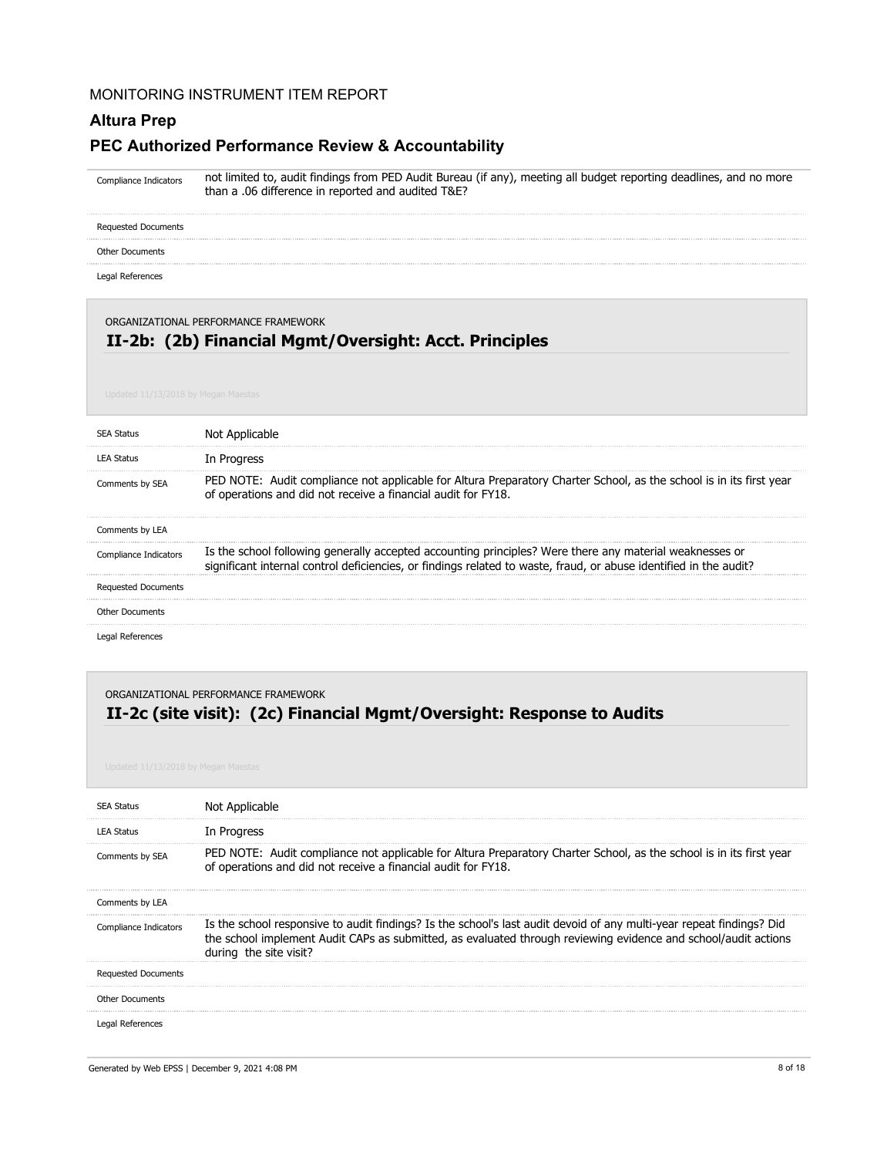#### **Altura Prep**

## **PEC Authorized Performance Review & Accountability**

not limited to, audit findings from PED Audit Bureau (if any), meeting all budget reporting deadlines, and no more than a .06 difference in reported and audited T&E? Compliance Indicators

Requested Documents

Other Documents

Legal References

ORGANIZATIONAL PERFORMANCE FRAMEWORK

## **II-2b: (2b) Financial Mgmt/Oversight: Acct. Principles**

| <b>SFA Status</b>          | Not Applicable                                                                                                                                                                                                               |
|----------------------------|------------------------------------------------------------------------------------------------------------------------------------------------------------------------------------------------------------------------------|
| LEA Status                 | In Progress                                                                                                                                                                                                                  |
| Comments by SEA            | PED NOTE: Audit compliance not applicable for Altura Preparatory Charter School, as the school is in its first year<br>of operations and did not receive a financial audit for FY18.                                         |
| Comments by LEA            |                                                                                                                                                                                                                              |
| Compliance Indicators      | Is the school following generally accepted accounting principles? Were there any material weaknesses or<br>significant internal control deficiencies, or findings related to waste, fraud, or abuse identified in the audit? |
| <b>Requested Documents</b> |                                                                                                                                                                                                                              |
| <b>Other Documents</b>     |                                                                                                                                                                                                                              |
| Legal References           |                                                                                                                                                                                                                              |

### **II-2c (site visit): (2c) Financial Mgmt/Oversight: Response to Audits** ORGANIZATIONAL PERFORMANCE FRAMEWORK

| <b>SEA Status</b>          | Not Applicable                                                                                                                                                                                                                                                   |
|----------------------------|------------------------------------------------------------------------------------------------------------------------------------------------------------------------------------------------------------------------------------------------------------------|
| <b>LEA Status</b>          | In Progress                                                                                                                                                                                                                                                      |
| Comments by SEA            | PED NOTE: Audit compliance not applicable for Altura Preparatory Charter School, as the school is in its first year<br>of operations and did not receive a financial audit for FY18.                                                                             |
| Comments by LEA            |                                                                                                                                                                                                                                                                  |
| Compliance Indicators      | Is the school responsive to audit findings? Is the school's last audit devoid of any multi-year repeat findings? Did<br>the school implement Audit CAPs as submitted, as evaluated through reviewing evidence and school/audit actions<br>during the site visit? |
| <b>Requested Documents</b> |                                                                                                                                                                                                                                                                  |
| <b>Other Documents</b>     |                                                                                                                                                                                                                                                                  |
| Legal References           |                                                                                                                                                                                                                                                                  |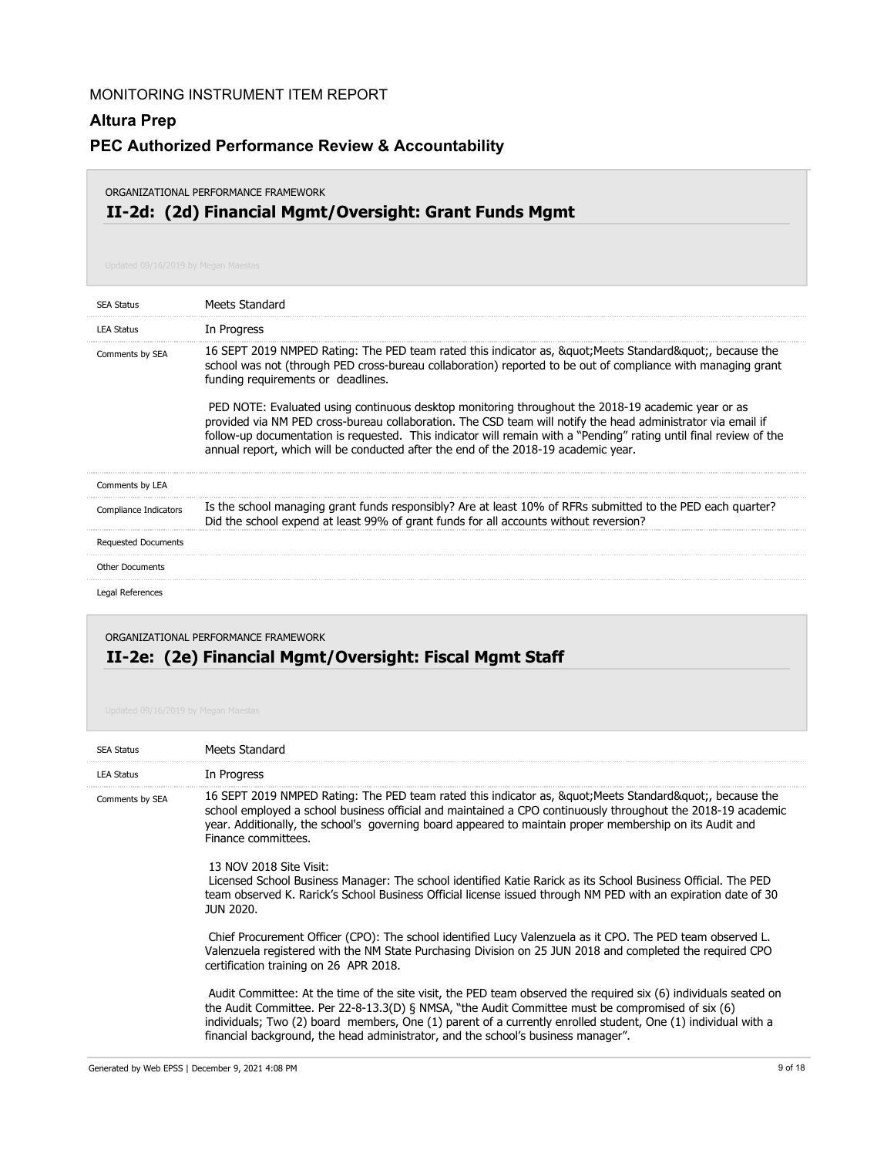# **Altura Prep PEC Authorized Performance Review & Accountability**

#### ORGANIZATIONAL PERFORMANCE FRAMEWORK

# **II-2d: (2d) Financial Mgmt/Oversight: Grant Funds Mgmt**

| <b>SEA Status</b>          | Meets Standard                                                                                                                                                                                                                                                                                                                                                                                                                                                                                                                                                                                                                                                                                       |
|----------------------------|------------------------------------------------------------------------------------------------------------------------------------------------------------------------------------------------------------------------------------------------------------------------------------------------------------------------------------------------------------------------------------------------------------------------------------------------------------------------------------------------------------------------------------------------------------------------------------------------------------------------------------------------------------------------------------------------------|
| <b>LEA Status</b>          | In Progress                                                                                                                                                                                                                                                                                                                                                                                                                                                                                                                                                                                                                                                                                          |
| Comments by SEA            | 16 SEPT 2019 NMPED Rating: The PED team rated this indicator as, & quot; Meets Standard & quot;, because the<br>school was not (through PED cross-bureau collaboration) reported to be out of compliance with managing grant<br>funding requirements or deadlines.<br>PED NOTE: Evaluated using continuous desktop monitoring throughout the 2018-19 academic year or as<br>provided via NM PED cross-bureau collaboration. The CSD team will notify the head administrator via email if<br>follow-up documentation is requested. This indicator will remain with a "Pending" rating until final review of the<br>annual report, which will be conducted after the end of the 2018-19 academic year. |
| Comments by LEA            |                                                                                                                                                                                                                                                                                                                                                                                                                                                                                                                                                                                                                                                                                                      |
| Compliance Indicators      | Is the school managing grant funds responsibly? Are at least 10% of RFRs submitted to the PED each quarter?<br>Did the school expend at least 99% of grant funds for all accounts without reversion?                                                                                                                                                                                                                                                                                                                                                                                                                                                                                                 |
| <b>Requested Documents</b> |                                                                                                                                                                                                                                                                                                                                                                                                                                                                                                                                                                                                                                                                                                      |
| <b>Other Documents</b>     |                                                                                                                                                                                                                                                                                                                                                                                                                                                                                                                                                                                                                                                                                                      |
| Legal References           |                                                                                                                                                                                                                                                                                                                                                                                                                                                                                                                                                                                                                                                                                                      |

## **II-2e: (2e) Financial Mgmt/Oversight: Fiscal Mgmt Staff** ORGANIZATIONAL PERFORMANCE FRAMEWORK

| <b>SEA Status</b> | Meets Standard                                                                                                                                                                                                                                                                                                                                                                                                              |
|-------------------|-----------------------------------------------------------------------------------------------------------------------------------------------------------------------------------------------------------------------------------------------------------------------------------------------------------------------------------------------------------------------------------------------------------------------------|
| <b>LEA Status</b> | In Progress                                                                                                                                                                                                                                                                                                                                                                                                                 |
| Comments by SEA   | 16 SEPT 2019 NMPED Rating: The PED team rated this indicator as, &guot Meets Standard&guot, because the<br>school employed a school business official and maintained a CPO continuously throughout the 2018-19 academic<br>year. Additionally, the school's governing board appeared to maintain proper membership on its Audit and<br>Finance committees.                                                                  |
|                   | 13 NOV 2018 Site Visit:<br>Licensed School Business Manager: The school identified Katie Rarick as its School Business Official. The PED<br>team observed K. Rarick's School Business Official license issued through NM PED with an expiration date of 30<br>JUN 2020.                                                                                                                                                     |
|                   | Chief Procurement Officer (CPO): The school identified Lucy Valenzuela as it CPO. The PED team observed L.<br>Valenzuela registered with the NM State Purchasing Division on 25 JUN 2018 and completed the reguired CPO<br>certification training on 26 APR 2018.                                                                                                                                                           |
|                   | Audit Committee: At the time of the site visit, the PED team observed the required six (6) individuals seated on<br>the Audit Committee. Per 22-8-13.3(D) § NMSA, "the Audit Committee must be compromised of six (6)<br>individuals; Two (2) board members, One (1) parent of a currently enrolled student, One (1) individual with a<br>financial background, the head administrator, and the school's business manager". |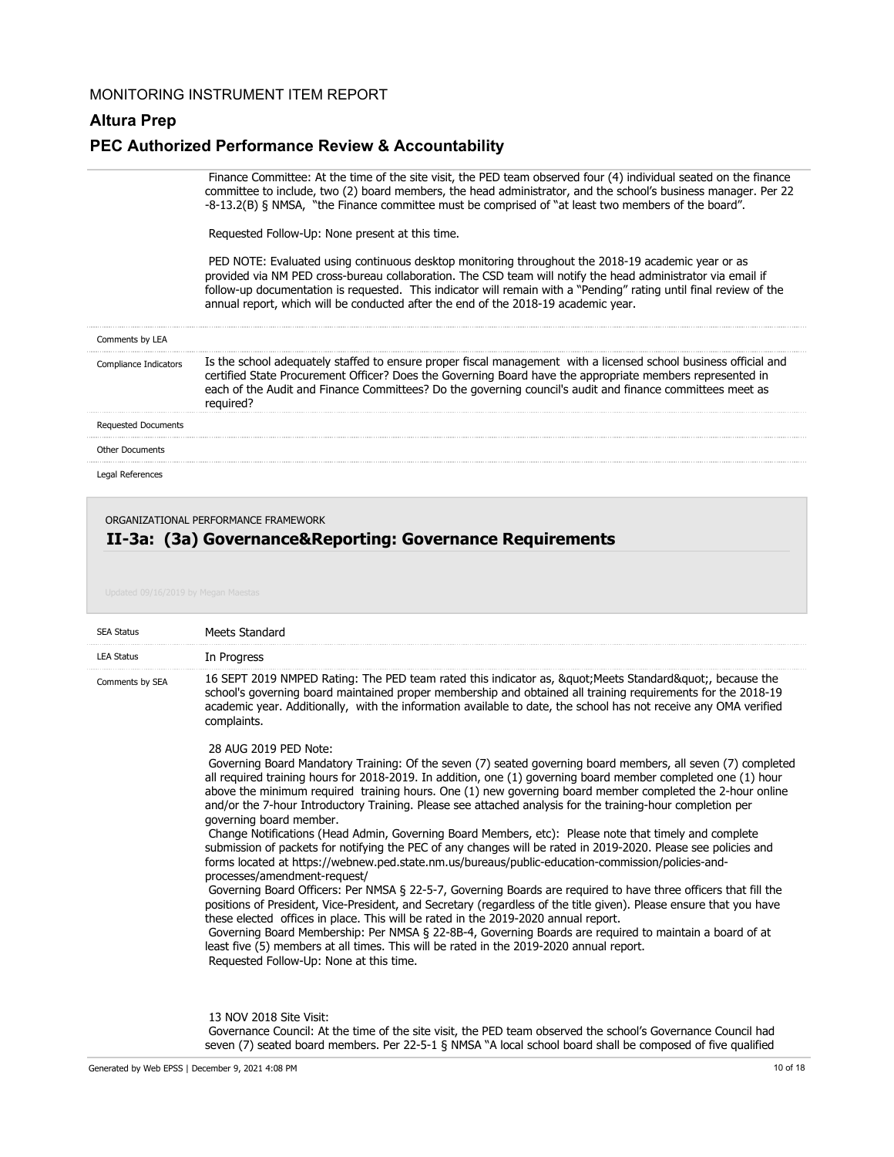#### **Altura Prep**

#### **PEC Authorized Performance Review & Accountability**

 Finance Committee: At the time of the site visit, the PED team observed four (4) individual seated on the finance committee to include, two (2) board members, the head administrator, and the school's business manager. Per 22 -8-13.2(B) § NMSA, "the Finance committee must be comprised of "at least two members of the board".

Requested Follow-Up: None present at this time.

 PED NOTE: Evaluated using continuous desktop monitoring throughout the 2018-19 academic year or as provided via NM PED cross-bureau collaboration. The CSD team will notify the head administrator via email if follow-up documentation is requested. This indicator will remain with a "Pending" rating until final review of the annual report, which will be conducted after the end of the 2018-19 academic year.

| Comments by LEA            |                                                                                                                                                                                                                                                                                                                                                         |
|----------------------------|---------------------------------------------------------------------------------------------------------------------------------------------------------------------------------------------------------------------------------------------------------------------------------------------------------------------------------------------------------|
| Compliance Indicators      | Is the school adequately staffed to ensure proper fiscal management with a licensed school business official and<br>certified State Procurement Officer? Does the Governing Board have the appropriate members represented in<br>each of the Audit and Finance Committees? Do the governing council's audit and finance committees meet as<br>required? |
| <b>Requested Documents</b> |                                                                                                                                                                                                                                                                                                                                                         |
|                            |                                                                                                                                                                                                                                                                                                                                                         |

Other Documents

Legal References

#### ORGANIZATIONAL PERFORMANCE FRAMEWORK

### **II-3a: (3a) Governance&Reporting: Governance Requirements**

| <b>SEA Status</b> | Meets Standard                                                                                                                                                                                                                                                                                                                                                                                                                                                                                                                                                                                                                                                                                                                                                                                                                                                                                                                                                                                                                                                                                                                                                                                                                                                                                                                                                                                                                                               |
|-------------------|--------------------------------------------------------------------------------------------------------------------------------------------------------------------------------------------------------------------------------------------------------------------------------------------------------------------------------------------------------------------------------------------------------------------------------------------------------------------------------------------------------------------------------------------------------------------------------------------------------------------------------------------------------------------------------------------------------------------------------------------------------------------------------------------------------------------------------------------------------------------------------------------------------------------------------------------------------------------------------------------------------------------------------------------------------------------------------------------------------------------------------------------------------------------------------------------------------------------------------------------------------------------------------------------------------------------------------------------------------------------------------------------------------------------------------------------------------------|
| <b>LEA Status</b> | In Progress                                                                                                                                                                                                                                                                                                                                                                                                                                                                                                                                                                                                                                                                                                                                                                                                                                                                                                                                                                                                                                                                                                                                                                                                                                                                                                                                                                                                                                                  |
| Comments by SEA   | 16 SEPT 2019 NMPED Rating: The PED team rated this indicator as, " Meets Standard", because the<br>school's governing board maintained proper membership and obtained all training requirements for the 2018-19<br>academic year. Additionally, with the information available to date, the school has not receive any OMA verified<br>complaints.                                                                                                                                                                                                                                                                                                                                                                                                                                                                                                                                                                                                                                                                                                                                                                                                                                                                                                                                                                                                                                                                                                           |
|                   | 28 AUG 2019 PED Note:<br>Governing Board Mandatory Training: Of the seven (7) seated governing board members, all seven (7) completed<br>all required training hours for 2018-2019. In addition, one (1) governing board member completed one (1) hour<br>above the minimum required training hours. One (1) new governing board member completed the 2-hour online<br>and/or the 7-hour Introductory Training. Please see attached analysis for the training-hour completion per<br>governing board member.<br>Change Notifications (Head Admin, Governing Board Members, etc): Please note that timely and complete<br>submission of packets for notifying the PEC of any changes will be rated in 2019-2020. Please see policies and<br>forms located at https://webnew.ped.state.nm.us/bureaus/public-education-commission/policies-and-<br>processes/amendment-request/<br>Governing Board Officers: Per NMSA § 22-5-7, Governing Boards are required to have three officers that fill the<br>positions of President, Vice-President, and Secretary (regardless of the title given). Please ensure that you have<br>these elected offices in place. This will be rated in the 2019-2020 annual report.<br>Governing Board Membership: Per NMSA § 22-8B-4, Governing Boards are required to maintain a board of at<br>least five (5) members at all times. This will be rated in the 2019-2020 annual report.<br>Requested Follow-Up: None at this time. |
|                   | 13 NOV 2018 Site Visit:                                                                                                                                                                                                                                                                                                                                                                                                                                                                                                                                                                                                                                                                                                                                                                                                                                                                                                                                                                                                                                                                                                                                                                                                                                                                                                                                                                                                                                      |

 Governance Council: At the time of the site visit, the PED team observed the school's Governance Council had seven (7) seated board members. Per 22-5-1 § NMSA "A local school board shall be composed of five qualified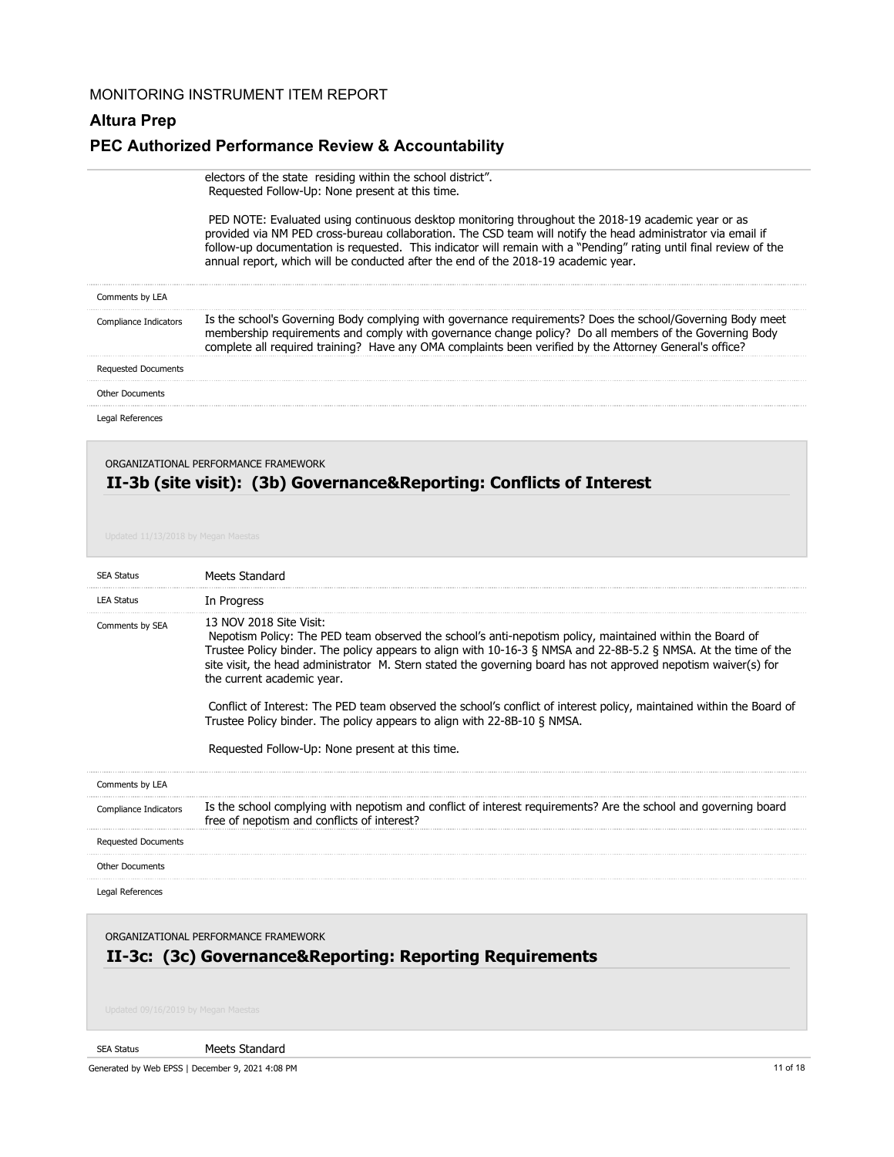## **Altura Prep**

## **PEC Authorized Performance Review & Accountability**

|                            | electors of the state residing within the school district".<br>Requested Follow-Up: None present at this time.                                                                                                                                                                                                                                                                                                                 |
|----------------------------|--------------------------------------------------------------------------------------------------------------------------------------------------------------------------------------------------------------------------------------------------------------------------------------------------------------------------------------------------------------------------------------------------------------------------------|
|                            | PED NOTE: Evaluated using continuous desktop monitoring throughout the 2018-19 academic year or as<br>provided via NM PED cross-bureau collaboration. The CSD team will notify the head administrator via email if<br>follow-up documentation is requested. This indicator will remain with a "Pending" rating until final review of the<br>annual report, which will be conducted after the end of the 2018-19 academic year. |
| Comments by LEA            |                                                                                                                                                                                                                                                                                                                                                                                                                                |
| Compliance Indicators      | Is the school's Governing Body complying with governance requirements? Does the school/Governing Body meet<br>membership requirements and comply with governance change policy? Do all members of the Governing Body<br>complete all required training? Have any OMA complaints been verified by the Attorney General's office?                                                                                                |
| <b>Requested Documents</b> |                                                                                                                                                                                                                                                                                                                                                                                                                                |
| <b>Other Documents</b>     |                                                                                                                                                                                                                                                                                                                                                                                                                                |
| Legal References           |                                                                                                                                                                                                                                                                                                                                                                                                                                |

| <b>SEA Status</b>          | Meets Standard                                                                                                                                                                                                                                                                                                                                                                                                                                                                                                                                                                                                                                                |
|----------------------------|---------------------------------------------------------------------------------------------------------------------------------------------------------------------------------------------------------------------------------------------------------------------------------------------------------------------------------------------------------------------------------------------------------------------------------------------------------------------------------------------------------------------------------------------------------------------------------------------------------------------------------------------------------------|
| <b>LEA Status</b>          | In Progress                                                                                                                                                                                                                                                                                                                                                                                                                                                                                                                                                                                                                                                   |
| Comments by SEA            | 13 NOV 2018 Site Visit:<br>Nepotism Policy: The PED team observed the school's anti-nepotism policy, maintained within the Board of<br>Trustee Policy binder. The policy appears to align with 10-16-3 § NMSA and 22-8B-5.2 § NMSA. At the time of the<br>site visit, the head administrator M. Stern stated the governing board has not approved nepotism waiver(s) for<br>the current academic year.<br>Conflict of Interest: The PED team observed the school's conflict of interest policy, maintained within the Board of<br>Trustee Policy binder. The policy appears to align with 22-8B-10 § NMSA.<br>Requested Follow-Up: None present at this time. |
| Comments by LEA            |                                                                                                                                                                                                                                                                                                                                                                                                                                                                                                                                                                                                                                                               |
| Compliance Indicators      | Is the school complying with nepotism and conflict of interest requirements? Are the school and governing board<br>free of nepotism and conflicts of interest?                                                                                                                                                                                                                                                                                                                                                                                                                                                                                                |
| <b>Requested Documents</b> |                                                                                                                                                                                                                                                                                                                                                                                                                                                                                                                                                                                                                                                               |
| <b>Other Documents</b>     |                                                                                                                                                                                                                                                                                                                                                                                                                                                                                                                                                                                                                                                               |
| Legal References           |                                                                                                                                                                                                                                                                                                                                                                                                                                                                                                                                                                                                                                                               |

ORGANIZATIONAL PERFORMANCE FRAMEWORK

# **II-3c: (3c) Governance&Reporting: Reporting Requirements**

#### SEA Status

Meets Standard

Generated by Web EPSS | December 9, 2021 4:08 PM 11 of 18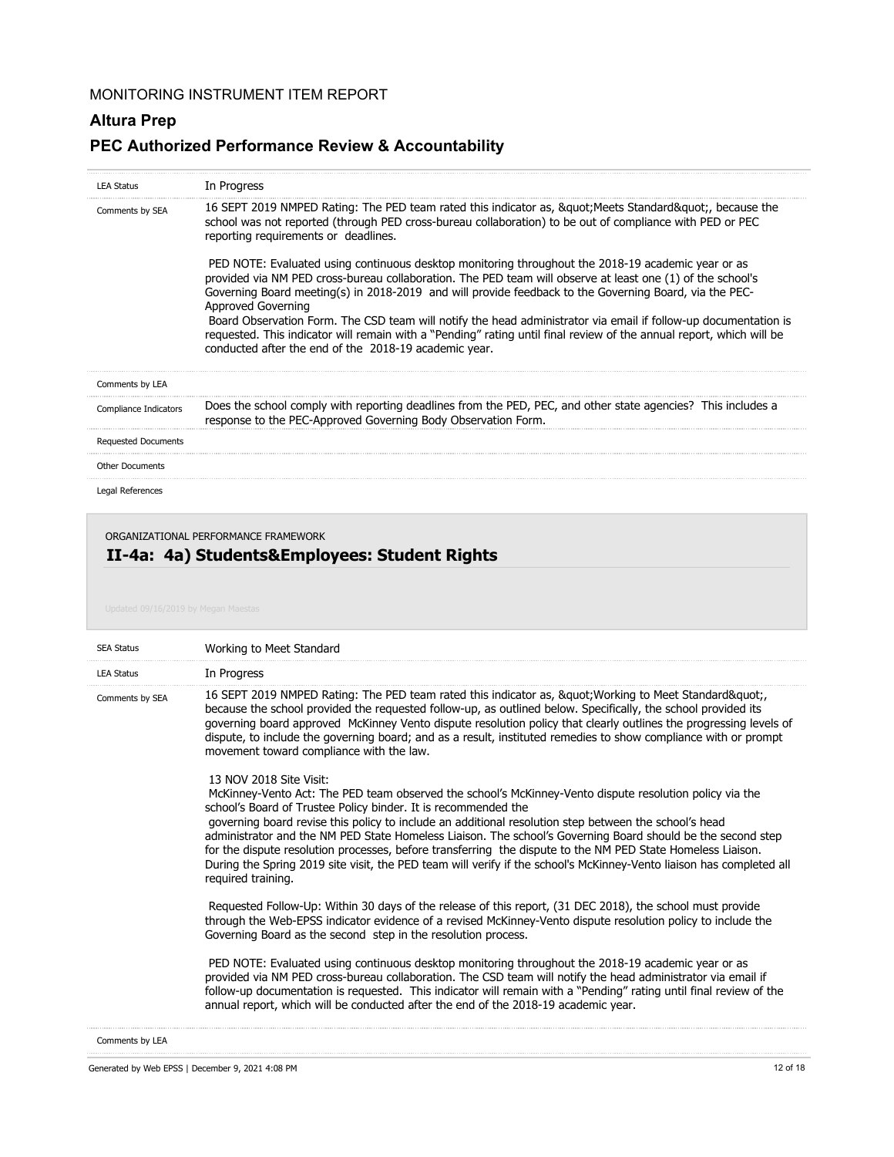## **Altura Prep**

## **PEC Authorized Performance Review & Accountability**

| <b>LEA Status</b>          | In Progress                                                                                                                                                                                                                                                                                                                                                                                                                                                                                                                                                                                                                                          |
|----------------------------|------------------------------------------------------------------------------------------------------------------------------------------------------------------------------------------------------------------------------------------------------------------------------------------------------------------------------------------------------------------------------------------------------------------------------------------------------------------------------------------------------------------------------------------------------------------------------------------------------------------------------------------------------|
| Comments by SEA            | 16 SEPT 2019 NMPED Rating: The PED team rated this indicator as, & quot; Meets Standard & quot;, because the<br>school was not reported (through PED cross-bureau collaboration) to be out of compliance with PED or PEC<br>reporting requirements or deadlines.                                                                                                                                                                                                                                                                                                                                                                                     |
|                            | PED NOTE: Evaluated using continuous desktop monitoring throughout the 2018-19 academic year or as<br>provided via NM PED cross-bureau collaboration. The PED team will observe at least one (1) of the school's<br>Governing Board meeting(s) in 2018-2019 and will provide feedback to the Governing Board, via the PEC-<br>Approved Governing<br>Board Observation Form. The CSD team will notify the head administrator via email if follow-up documentation is<br>requested. This indicator will remain with a "Pending" rating until final review of the annual report, which will be<br>conducted after the end of the 2018-19 academic year. |
| Comments by LEA            |                                                                                                                                                                                                                                                                                                                                                                                                                                                                                                                                                                                                                                                      |
| Compliance Indicators      | Does the school comply with reporting deadlines from the PED, PEC, and other state agencies? This includes a<br>response to the PEC-Approved Governing Body Observation Form.                                                                                                                                                                                                                                                                                                                                                                                                                                                                        |
| <b>Requested Documents</b> |                                                                                                                                                                                                                                                                                                                                                                                                                                                                                                                                                                                                                                                      |
| <b>Other Documents</b>     |                                                                                                                                                                                                                                                                                                                                                                                                                                                                                                                                                                                                                                                      |
| Legal References           |                                                                                                                                                                                                                                                                                                                                                                                                                                                                                                                                                                                                                                                      |

ORGANIZATIONAL PERFORMANCE FRAMEWORK

# **II-4a: 4a) Students&Employees: Student Rights**

| <b>SEA Status</b> | Working to Meet Standard                                                                                                                                                                                                                                                                                                                                                                                                                                                                                                                                                                                                                                                                  |
|-------------------|-------------------------------------------------------------------------------------------------------------------------------------------------------------------------------------------------------------------------------------------------------------------------------------------------------------------------------------------------------------------------------------------------------------------------------------------------------------------------------------------------------------------------------------------------------------------------------------------------------------------------------------------------------------------------------------------|
| <b>LEA Status</b> | In Progress                                                                                                                                                                                                                                                                                                                                                                                                                                                                                                                                                                                                                                                                               |
| Comments by SEA   | 16 SEPT 2019 NMPED Rating: The PED team rated this indicator as, " Working to Meet Standard"<br>because the school provided the requested follow-up, as outlined below. Specifically, the school provided its<br>governing board approved McKinney Vento dispute resolution policy that clearly outlines the progressing levels of<br>dispute, to include the governing board; and as a result, instituted remedies to show compliance with or prompt<br>movement toward compliance with the law.                                                                                                                                                                                         |
|                   | 13 NOV 2018 Site Visit:<br>McKinney-Vento Act: The PED team observed the school's McKinney-Vento dispute resolution policy via the<br>school's Board of Trustee Policy binder. It is recommended the<br>governing board revise this policy to include an additional resolution step between the school's head<br>administrator and the NM PED State Homeless Liaison. The school's Governing Board should be the second step<br>for the dispute resolution processes, before transferring the dispute to the NM PED State Homeless Liaison.<br>During the Spring 2019 site visit, the PED team will verify if the school's McKinney-Vento liaison has completed all<br>required training. |
|                   | Requested Follow-Up: Within 30 days of the release of this report, (31 DEC 2018), the school must provide<br>through the Web-EPSS indicator evidence of a revised McKinney-Vento dispute resolution policy to include the<br>Governing Board as the second step in the resolution process.                                                                                                                                                                                                                                                                                                                                                                                                |
|                   | PED NOTE: Evaluated using continuous desktop monitoring throughout the 2018-19 academic year or as<br>provided via NM PED cross-bureau collaboration. The CSD team will notify the head administrator via email if<br>follow-up documentation is requested. This indicator will remain with a "Pending" rating until final review of the<br>annual report, which will be conducted after the end of the 2018-19 academic year.                                                                                                                                                                                                                                                            |
|                   |                                                                                                                                                                                                                                                                                                                                                                                                                                                                                                                                                                                                                                                                                           |

Comments by LEA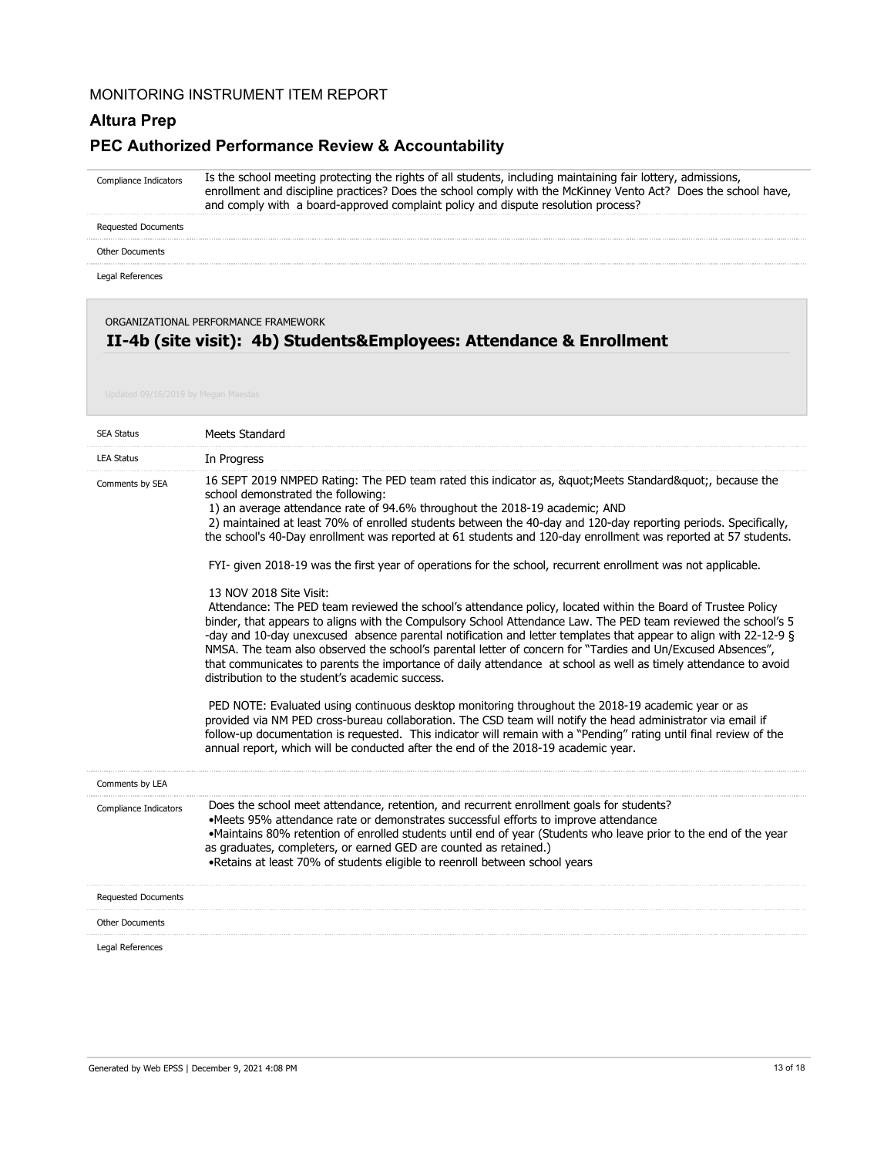### **Altura Prep**

#### **PEC Authorized Performance Review & Accountability**

Is the school meeting protecting the rights of all students, including maintaining fair lottery, admissions, enrollment and discipline practices? Does the school comply with the McKinney Vento Act? Does the school have, and comply with a board-approved complaint policy and dispute resolution process? Compliance Indicators

Requested Documents

Other Documents

Legal References

ORGANIZATIONAL PERFORMANCE FRAMEWORK

#### **II-4b (site visit): 4b) Students&Employees: Attendance & Enrollment**

| <b>SEA Status</b>          | Meets Standard                                                                                                                                                                                                                                                                                                                                                                                                                                                                                                                                                                                                                                                                                                                                                                                                                                                                                                                                                                                                                                                                                                                                                                                                                                                                                                                                                                                                                                                                                                                                                                                                                                                                    |
|----------------------------|-----------------------------------------------------------------------------------------------------------------------------------------------------------------------------------------------------------------------------------------------------------------------------------------------------------------------------------------------------------------------------------------------------------------------------------------------------------------------------------------------------------------------------------------------------------------------------------------------------------------------------------------------------------------------------------------------------------------------------------------------------------------------------------------------------------------------------------------------------------------------------------------------------------------------------------------------------------------------------------------------------------------------------------------------------------------------------------------------------------------------------------------------------------------------------------------------------------------------------------------------------------------------------------------------------------------------------------------------------------------------------------------------------------------------------------------------------------------------------------------------------------------------------------------------------------------------------------------------------------------------------------------------------------------------------------|
| <b>LEA Status</b>          | In Progress                                                                                                                                                                                                                                                                                                                                                                                                                                                                                                                                                                                                                                                                                                                                                                                                                                                                                                                                                                                                                                                                                                                                                                                                                                                                                                                                                                                                                                                                                                                                                                                                                                                                       |
| Comments by SEA            | 16 SEPT 2019 NMPED Rating: The PED team rated this indicator as, " Meets Standard", because the<br>school demonstrated the following:<br>1) an average attendance rate of 94.6% throughout the 2018-19 academic; AND<br>2) maintained at least 70% of enrolled students between the 40-day and 120-day reporting periods. Specifically,<br>the school's 40-Day enrollment was reported at 61 students and 120-day enrollment was reported at 57 students.<br>FYI- given 2018-19 was the first year of operations for the school, recurrent enrollment was not applicable.<br>13 NOV 2018 Site Visit:<br>Attendance: The PED team reviewed the school's attendance policy, located within the Board of Trustee Policy<br>binder, that appears to aligns with the Compulsory School Attendance Law. The PED team reviewed the school's 5<br>-day and 10-day unexcused absence parental notification and letter templates that appear to align with 22-12-9 §<br>NMSA. The team also observed the school's parental letter of concern for "Tardies and Un/Excused Absences",<br>that communicates to parents the importance of daily attendance at school as well as timely attendance to avoid<br>distribution to the student's academic success.<br>PED NOTE: Evaluated using continuous desktop monitoring throughout the 2018-19 academic year or as<br>provided via NM PED cross-bureau collaboration. The CSD team will notify the head administrator via email if<br>follow-up documentation is requested. This indicator will remain with a "Pending" rating until final review of the<br>annual report, which will be conducted after the end of the 2018-19 academic year. |
| Comments by LEA            |                                                                                                                                                                                                                                                                                                                                                                                                                                                                                                                                                                                                                                                                                                                                                                                                                                                                                                                                                                                                                                                                                                                                                                                                                                                                                                                                                                                                                                                                                                                                                                                                                                                                                   |
| Compliance Indicators      | Does the school meet attendance, retention, and recurrent enrollment goals for students?<br>•Meets 95% attendance rate or demonstrates successful efforts to improve attendance<br>•Maintains 80% retention of enrolled students until end of year (Students who leave prior to the end of the year<br>as graduates, completers, or earned GED are counted as retained.)<br>. Retains at least 70% of students eligible to reenroll between school years                                                                                                                                                                                                                                                                                                                                                                                                                                                                                                                                                                                                                                                                                                                                                                                                                                                                                                                                                                                                                                                                                                                                                                                                                          |
| <b>Requested Documents</b> |                                                                                                                                                                                                                                                                                                                                                                                                                                                                                                                                                                                                                                                                                                                                                                                                                                                                                                                                                                                                                                                                                                                                                                                                                                                                                                                                                                                                                                                                                                                                                                                                                                                                                   |
| <b>Other Documents</b>     |                                                                                                                                                                                                                                                                                                                                                                                                                                                                                                                                                                                                                                                                                                                                                                                                                                                                                                                                                                                                                                                                                                                                                                                                                                                                                                                                                                                                                                                                                                                                                                                                                                                                                   |
| Legal References           |                                                                                                                                                                                                                                                                                                                                                                                                                                                                                                                                                                                                                                                                                                                                                                                                                                                                                                                                                                                                                                                                                                                                                                                                                                                                                                                                                                                                                                                                                                                                                                                                                                                                                   |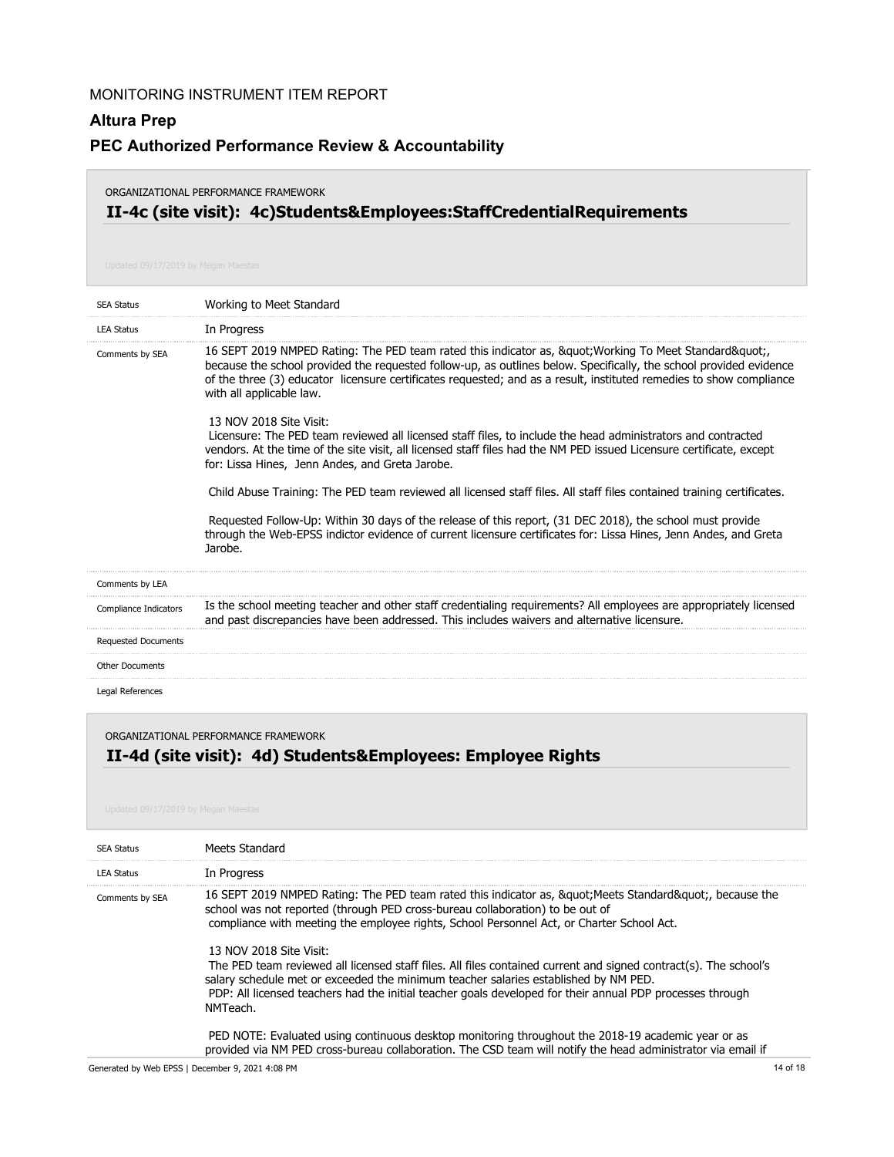### **Altura Prep**

### **PEC Authorized Performance Review & Accountability**

#### ORGANIZATIONAL PERFORMANCE FRAMEWORK

# **II-4c (site visit): 4c)Students&Employees:StaffCredentialRequirements**

| <b>SEA Status</b>          | Working to Meet Standard                                                                                                                                                                                                                                                                                                                                              |
|----------------------------|-----------------------------------------------------------------------------------------------------------------------------------------------------------------------------------------------------------------------------------------------------------------------------------------------------------------------------------------------------------------------|
| <b>LEA Status</b>          | In Progress                                                                                                                                                                                                                                                                                                                                                           |
| Comments by SEA            | 16 SEPT 2019 NMPED Rating: The PED team rated this indicator as, " Working To Meet Standard"<br>because the school provided the requested follow-up, as outlines below. Specifically, the school provided evidence<br>of the three (3) educator licensure certificates requested; and as a result, instituted remedies to show compliance<br>with all applicable law. |
|                            | 13 NOV 2018 Site Visit:<br>Licensure: The PED team reviewed all licensed staff files, to include the head administrators and contracted<br>vendors. At the time of the site visit, all licensed staff files had the NM PED issued Licensure certificate, except<br>for: Lissa Hines, Jenn Andes, and Greta Jarobe.                                                    |
|                            | Child Abuse Training: The PED team reviewed all licensed staff files. All staff files contained training certificates.                                                                                                                                                                                                                                                |
|                            | Requested Follow-Up: Within 30 days of the release of this report, (31 DEC 2018), the school must provide<br>through the Web-EPSS indictor evidence of current licensure certificates for: Lissa Hines, Jenn Andes, and Greta<br>Jarobe.                                                                                                                              |
| Comments by LEA            |                                                                                                                                                                                                                                                                                                                                                                       |
| Compliance Indicators      | Is the school meeting teacher and other staff credentialing requirements? All employees are appropriately licensed<br>and past discrepancies have been addressed. This includes waivers and alternative licensure.                                                                                                                                                    |
| <b>Requested Documents</b> |                                                                                                                                                                                                                                                                                                                                                                       |
| <b>Other Documents</b>     |                                                                                                                                                                                                                                                                                                                                                                       |
| Legal References           |                                                                                                                                                                                                                                                                                                                                                                       |

#### ORGANIZATIONAL PERFORMANCE FRAMEWORK

## **II-4d (site visit): 4d) Students&Employees: Employee Rights**

| <b>SEA Status</b> | Meets Standard                                                                                                                                                                                                                                                                                                                                                                                                                                                                                                                                                                                                                                                                                                                                             |
|-------------------|------------------------------------------------------------------------------------------------------------------------------------------------------------------------------------------------------------------------------------------------------------------------------------------------------------------------------------------------------------------------------------------------------------------------------------------------------------------------------------------------------------------------------------------------------------------------------------------------------------------------------------------------------------------------------------------------------------------------------------------------------------|
| <b>LEA Status</b> | In Progress                                                                                                                                                                                                                                                                                                                                                                                                                                                                                                                                                                                                                                                                                                                                                |
| Comments by SEA   | 16 SEPT 2019 NMPED Rating: The PED team rated this indicator as, &guot Meets Standard&guot, because the<br>school was not reported (through PED cross-bureau collaboration) to be out of<br>compliance with meeting the employee rights, School Personnel Act, or Charter School Act.<br>13 NOV 2018 Site Visit:<br>The PED team reviewed all licensed staff files. All files contained current and signed contract(s). The school's<br>salary schedule met or exceeded the minimum teacher salaries established by NM PED.<br>PDP: All licensed teachers had the initial teacher goals developed for their annual PDP processes through<br>NMTeach.<br>PED NOTE: Evaluated using continuous desktop monitoring throughout the 2018-19 academic year or as |
|                   | provided via NM PED cross-bureau collaboration. The CSD team will notify the head administrator via email if                                                                                                                                                                                                                                                                                                                                                                                                                                                                                                                                                                                                                                               |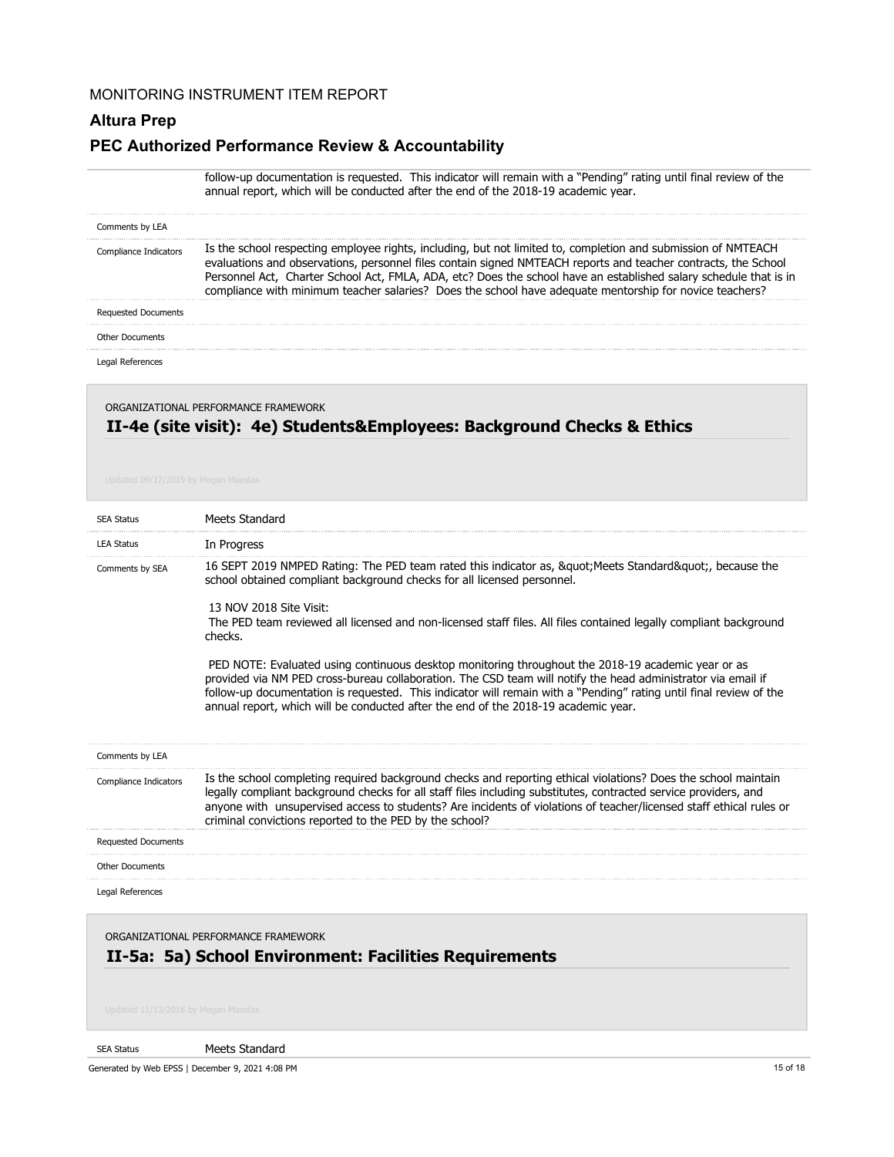#### **Altura Prep**

#### **PEC Authorized Performance Review & Accountability**

|                                      | follow-up documentation is requested. This indicator will remain with a "Pending" rating until final review of the<br>annual report, which will be conducted after the end of the 2018-19 academic year.                                                                                                                                                                                                                                                        |
|--------------------------------------|-----------------------------------------------------------------------------------------------------------------------------------------------------------------------------------------------------------------------------------------------------------------------------------------------------------------------------------------------------------------------------------------------------------------------------------------------------------------|
| Comments by LEA                      |                                                                                                                                                                                                                                                                                                                                                                                                                                                                 |
| Compliance Indicators                | Is the school respecting employee rights, including, but not limited to, completion and submission of NMTEACH<br>evaluations and observations, personnel files contain signed NMTEACH reports and teacher contracts, the School<br>Personnel Act, Charter School Act, FMLA, ADA, etc? Does the school have an established salary schedule that is in<br>compliance with minimum teacher salaries? Does the school have adequate mentorship for novice teachers? |
| <b>Requested Documents</b>           |                                                                                                                                                                                                                                                                                                                                                                                                                                                                 |
| <b>Other Documents</b>               |                                                                                                                                                                                                                                                                                                                                                                                                                                                                 |
| Legal References                     |                                                                                                                                                                                                                                                                                                                                                                                                                                                                 |
| ORGANIZATIONAL PERFORMANCE FRAMEWORK |                                                                                                                                                                                                                                                                                                                                                                                                                                                                 |

# **II-4e (site visit): 4e) Students&Employees: Background Checks & Ethics**

| <b>SEA Status</b>          | Meets Standard                                                                                                                                                                                                                                                                                                                                                                                                                 |
|----------------------------|--------------------------------------------------------------------------------------------------------------------------------------------------------------------------------------------------------------------------------------------------------------------------------------------------------------------------------------------------------------------------------------------------------------------------------|
| <b>LEA Status</b>          | In Progress                                                                                                                                                                                                                                                                                                                                                                                                                    |
| Comments by SEA            | 16 SEPT 2019 NMPED Rating: The PED team rated this indicator as, & quot; Meets Standard & quot;, because the<br>school obtained compliant background checks for all licensed personnel.                                                                                                                                                                                                                                        |
|                            | 13 NOV 2018 Site Visit:<br>The PED team reviewed all licensed and non-licensed staff files. All files contained legally compliant background<br>checks.                                                                                                                                                                                                                                                                        |
|                            | PED NOTE: Evaluated using continuous desktop monitoring throughout the 2018-19 academic year or as<br>provided via NM PED cross-bureau collaboration. The CSD team will notify the head administrator via email if<br>follow-up documentation is requested. This indicator will remain with a "Pending" rating until final review of the<br>annual report, which will be conducted after the end of the 2018-19 academic year. |
| Comments by LEA            |                                                                                                                                                                                                                                                                                                                                                                                                                                |
| Compliance Indicators      | Is the school completing required background checks and reporting ethical violations? Does the school maintain<br>legally compliant background checks for all staff files including substitutes, contracted service providers, and<br>anyone with unsupervised access to students? Are incidents of violations of teacher/licensed staff ethical rules or<br>criminal convictions reported to the PED by the school?           |
| <b>Requested Documents</b> |                                                                                                                                                                                                                                                                                                                                                                                                                                |
| <b>Other Documents</b>     |                                                                                                                                                                                                                                                                                                                                                                                                                                |
| Legal References           |                                                                                                                                                                                                                                                                                                                                                                                                                                |

ORGANIZATIONAL PERFORMANCE FRAMEWORK

## **II-5a: 5a) School Environment: Facilities Requirements**

#### SEA Status

Meets Standard

Generated by Web EPSS | December 9, 2021 4:08 PM 15 of 18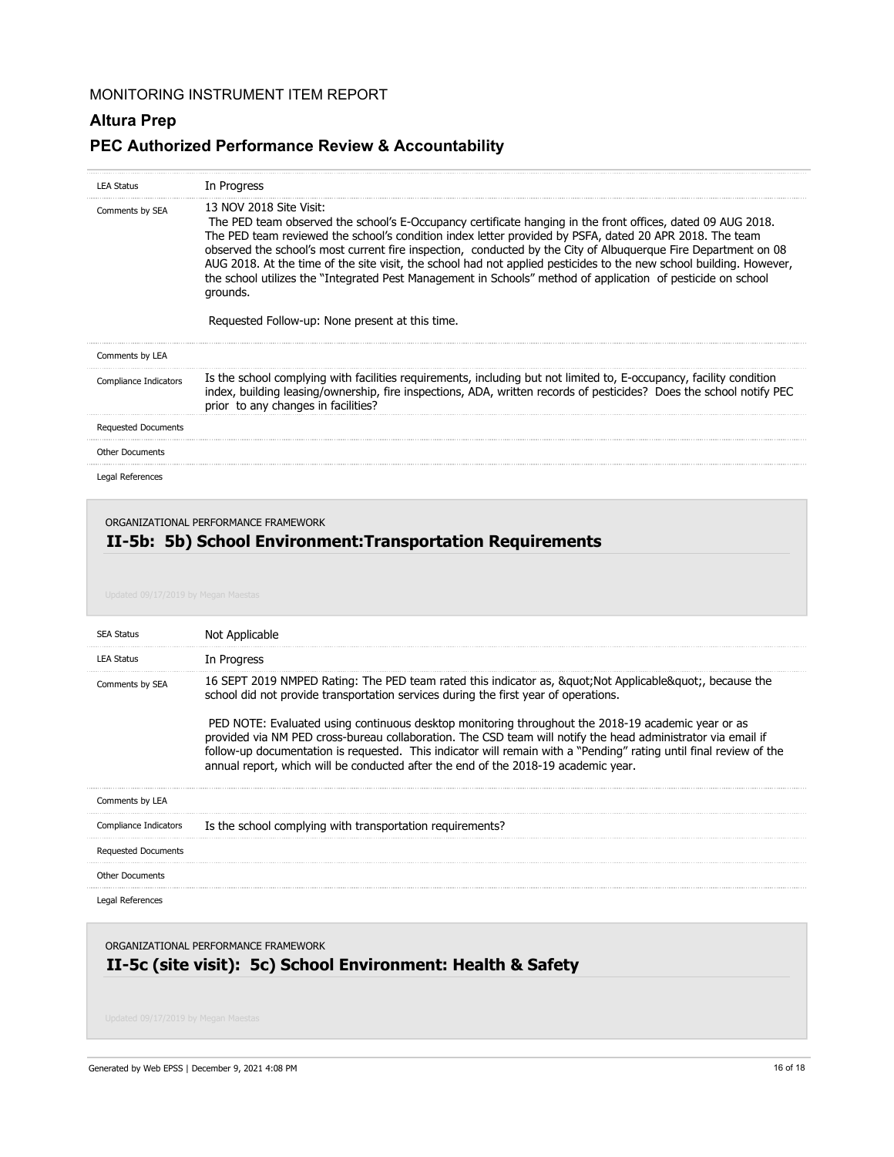## **Altura Prep**

## **PEC Authorized Performance Review & Accountability**

| <b>LEA Status</b>          | In Progress                                                                                                                                                                                                                                                                                                                                                                                                                                                                                                                                                                                                                                                               |
|----------------------------|---------------------------------------------------------------------------------------------------------------------------------------------------------------------------------------------------------------------------------------------------------------------------------------------------------------------------------------------------------------------------------------------------------------------------------------------------------------------------------------------------------------------------------------------------------------------------------------------------------------------------------------------------------------------------|
| Comments by SEA            | 13 NOV 2018 Site Visit:<br>The PED team observed the school's E-Occupancy certificate hanging in the front offices, dated 09 AUG 2018.<br>The PED team reviewed the school's condition index letter provided by PSFA, dated 20 APR 2018. The team<br>observed the school's most current fire inspection, conducted by the City of Albuguergue Fire Department on 08<br>AUG 2018. At the time of the site visit, the school had not applied pesticides to the new school building. However,<br>the school utilizes the "Integrated Pest Management in Schools" method of application of pesticide on school<br>grounds.<br>Requested Follow-up: None present at this time. |
| Comments by LEA            |                                                                                                                                                                                                                                                                                                                                                                                                                                                                                                                                                                                                                                                                           |
| Compliance Indicators      | Is the school complying with facilities requirements, including but not limited to, E-occupancy, facility condition<br>index, building leasing/ownership, fire inspections, ADA, written records of pesticides? Does the school notify PEC<br>prior to any changes in facilities?                                                                                                                                                                                                                                                                                                                                                                                         |
| <b>Requested Documents</b> |                                                                                                                                                                                                                                                                                                                                                                                                                                                                                                                                                                                                                                                                           |
| <b>Other Documents</b>     |                                                                                                                                                                                                                                                                                                                                                                                                                                                                                                                                                                                                                                                                           |
| Legal References           |                                                                                                                                                                                                                                                                                                                                                                                                                                                                                                                                                                                                                                                                           |

#### ORGANIZATIONAL PERFORMANCE FRAMEWORK

# **II-5b: 5b) School Environment:Transportation Requirements**

| <b>SEA Status</b>          | Not Applicable                                                                                                                                                                                                                                                                                                                                                                                                                                                                                                                                                                                                                   |
|----------------------------|----------------------------------------------------------------------------------------------------------------------------------------------------------------------------------------------------------------------------------------------------------------------------------------------------------------------------------------------------------------------------------------------------------------------------------------------------------------------------------------------------------------------------------------------------------------------------------------------------------------------------------|
| <b>LEA Status</b>          | In Progress                                                                                                                                                                                                                                                                                                                                                                                                                                                                                                                                                                                                                      |
| Comments by SEA            | 16 SEPT 2019 NMPED Rating: The PED team rated this indicator as, &guot Not Applicable&guot, because the<br>school did not provide transportation services during the first year of operations.<br>PED NOTE: Evaluated using continuous desktop monitoring throughout the 2018-19 academic year or as<br>provided via NM PED cross-bureau collaboration. The CSD team will notify the head administrator via email if<br>follow-up documentation is requested. This indicator will remain with a "Pending" rating until final review of the<br>annual report, which will be conducted after the end of the 2018-19 academic year. |
| Comments by LEA            |                                                                                                                                                                                                                                                                                                                                                                                                                                                                                                                                                                                                                                  |
| Compliance Indicators      | Is the school complying with transportation requirements?                                                                                                                                                                                                                                                                                                                                                                                                                                                                                                                                                                        |
| <b>Requested Documents</b> |                                                                                                                                                                                                                                                                                                                                                                                                                                                                                                                                                                                                                                  |
| <b>Other Documents</b>     |                                                                                                                                                                                                                                                                                                                                                                                                                                                                                                                                                                                                                                  |
| Legal References           |                                                                                                                                                                                                                                                                                                                                                                                                                                                                                                                                                                                                                                  |

### ORGANIZATIONAL PERFORMANCE FRAMEWORK

## **II-5c (site visit): 5c) School Environment: Health & Safety**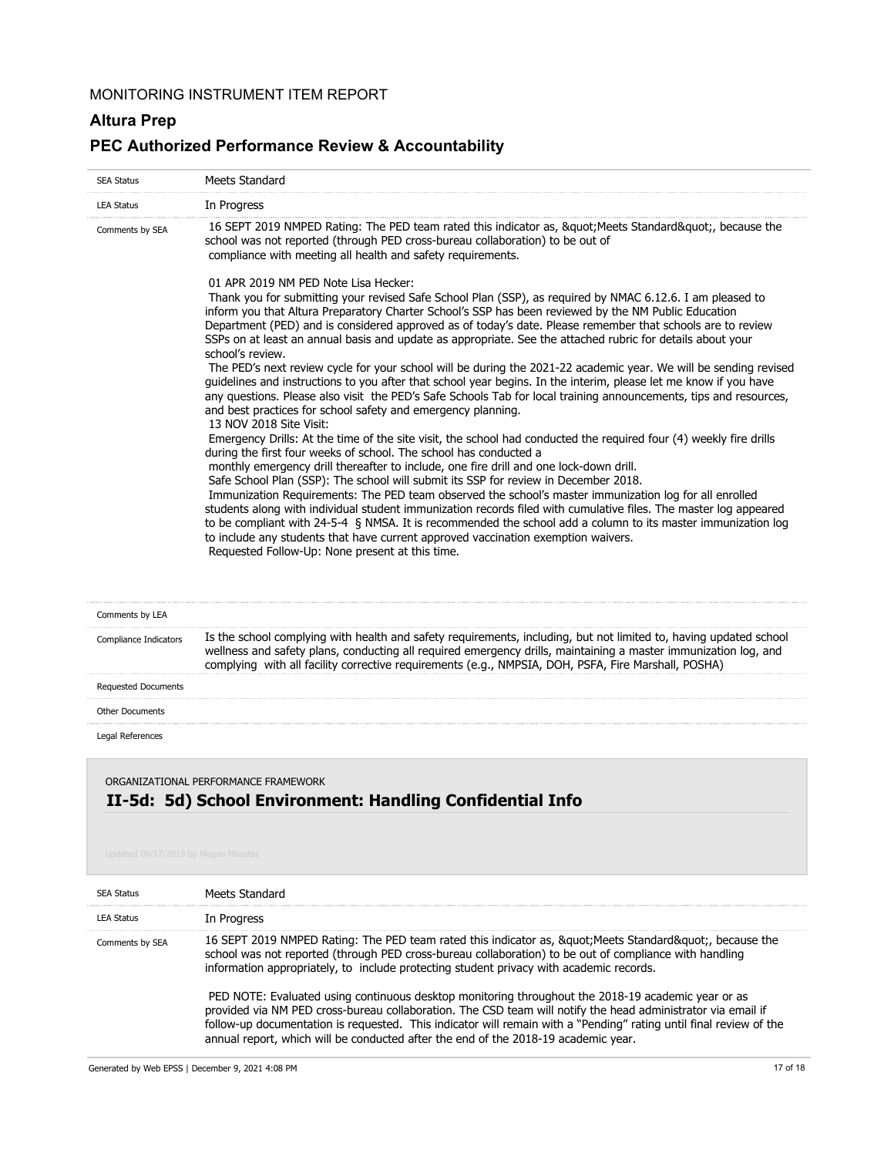## **Altura Prep**

## **PEC Authorized Performance Review & Accountability**

| <b>SEA Status</b>            | Meets Standard                                                                                                                                                                                                                                                                                                                                                                                                                                                                                                                                                                                                                                                      |
|------------------------------|---------------------------------------------------------------------------------------------------------------------------------------------------------------------------------------------------------------------------------------------------------------------------------------------------------------------------------------------------------------------------------------------------------------------------------------------------------------------------------------------------------------------------------------------------------------------------------------------------------------------------------------------------------------------|
| <b>LEA Status</b>            | In Progress                                                                                                                                                                                                                                                                                                                                                                                                                                                                                                                                                                                                                                                         |
| Comments by SEA              | 16 SEPT 2019 NMPED Rating: The PED team rated this indicator as, " Meets Standard", because the<br>school was not reported (through PED cross-bureau collaboration) to be out of<br>compliance with meeting all health and safety requirements.                                                                                                                                                                                                                                                                                                                                                                                                                     |
|                              | 01 APR 2019 NM PFD Note Lisa Hecker:<br>Thank you for submitting your revised Safe School Plan (SSP), as required by NMAC 6.12.6. I am pleased to<br>inform you that Altura Preparatory Charter School's SSP has been reviewed by the NM Public Education<br>Department (PED) and is considered approved as of today's date. Please remember that schools are to review<br>SSPs on at least an annual basis and update as appropriate. See the attached rubric for details about your<br>school's review.                                                                                                                                                           |
|                              | The PED's next review cycle for your school will be during the 2021-22 academic year. We will be sending revised<br>quidelines and instructions to you after that school year begins. In the interim, please let me know if you have<br>any questions. Please also visit the PED's Safe Schools Tab for local training announcements, tips and resources,<br>and best practices for school safety and emergency planning.<br>13 NOV 2018 Site Visit:                                                                                                                                                                                                                |
|                              | Emergency Drills: At the time of the site visit, the school had conducted the required four (4) weekly fire drills<br>during the first four weeks of school. The school has conducted a                                                                                                                                                                                                                                                                                                                                                                                                                                                                             |
|                              | monthly emergency drill thereafter to include, one fire drill and one lock-down drill.<br>Safe School Plan (SSP): The school will submit its SSP for review in December 2018.<br>Immunization Requirements: The PED team observed the school's master immunization log for all enrolled<br>students along with individual student immunization records filed with cumulative files. The master log appeared<br>to be compliant with 24-5-4 § NMSA. It is recommended the school add a column to its master immunization log<br>to include any students that have current approved vaccination exemption waivers.<br>Requested Follow-Up: None present at this time. |
| Comments by LEA              |                                                                                                                                                                                                                                                                                                                                                                                                                                                                                                                                                                                                                                                                     |
| <b>Compliance Indicators</b> | Is the school complying with health and safety requirements, including, but not limited to, having updated school                                                                                                                                                                                                                                                                                                                                                                                                                                                                                                                                                   |

| Reauested Documents   |                                                                                                                   |
|-----------------------|-------------------------------------------------------------------------------------------------------------------|
|                       | complying with all facility corrective requirements (e.g., NMPSIA, DOH, PSFA, Fire Marshall, POSHA)               |
|                       | wellness and safety plans, conducting all required emergency drills, maintaining a master immunization log, and   |
| Compliance Indicators | Is the school complying with health and safety requirements, including, but not limited to, having updated school |

Other Documents

Legal References

## **II-5d: 5d) School Environment: Handling Confidential Info** ORGANIZATIONAL PERFORMANCE FRAMEWORK

| <b>SEA Status</b> | Meets Standard                                                                                                                                                                                                                                                                                                                                                                                                     |
|-------------------|--------------------------------------------------------------------------------------------------------------------------------------------------------------------------------------------------------------------------------------------------------------------------------------------------------------------------------------------------------------------------------------------------------------------|
| <b>LEA Status</b> | In Progress                                                                                                                                                                                                                                                                                                                                                                                                        |
| Comments by SEA   | 16 SEPT 2019 NMPED Rating: The PED team rated this indicator as, &guot Meets Standard&guot, because the<br>school was not reported (through PED cross-bureau collaboration) to be out of compliance with handling<br>information appropriately, to include protecting student privacy with academic records.<br>PED NOTE: Evaluated using continuous desktop monitoring throughout the 2018-19 academic year or as |
|                   | provided via NM PED cross-bureau collaboration. The CSD team will notify the head administrator via email if<br>follow-up documentation is requested. This indicator will remain with a "Pending" rating until final review of the<br>annual report, which will be conducted after the end of the 2018-19 academic year.                                                                                           |

Generated by Web EPSS | December 9, 2021 4:08 PM 17 of 18